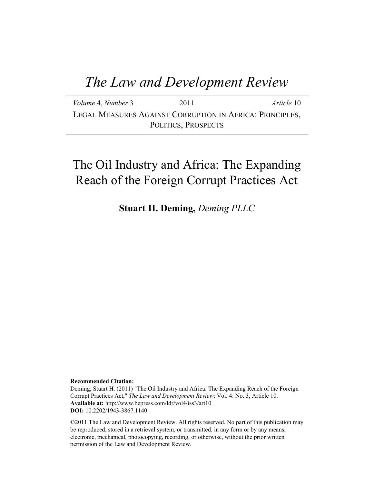# *The Law and Development Review*

*Volume* 4, *Number* 3 2011 *Article* 10 LEGAL MEASURES AGAINST CORRUPTION IN AFRICA: PRINCIPLES, POLITICS, PROSPECTS

# The Oil Industry and Africa: The Expanding Reach of the Foreign Corrupt Practices Act

**Stuart H. Deming,** *Deming PLLC*

**Recommended Citation:**

Deming, Stuart H. (2011) "The Oil Industry and Africa: The Expanding Reach of the Foreign Corrupt Practices Act," *The Law and Development Review*: Vol. 4: No. 3, Article 10. **Available at:** http://www.bepress.com/ldr/vol4/iss3/art10 **DOI:** 10.2202/1943-3867.1140

©2011 The Law and Development Review. All rights reserved. No part of this publication may be reproduced, stored in a retrieval system, or transmitted, in any form or by any means, electronic, mechanical, photocopying, recording, or otherwise, without the prior written permission of the Law and Development Review.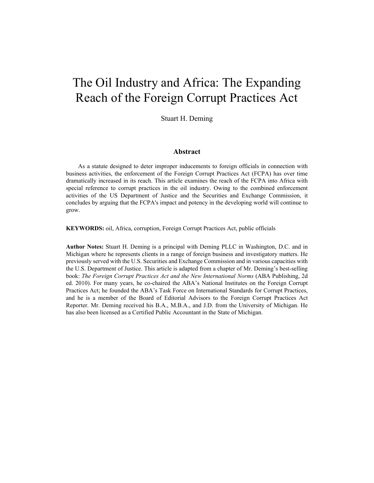# The Oil Industry and Africa: The Expanding Reach of the Foreign Corrupt Practices Act

Stuart H. Deming

#### **Abstract**

As a statute designed to deter improper inducements to foreign officials in connection with business activities, the enforcement of the Foreign Corrupt Practices Act (FCPA) has over time dramatically increased in its reach. This article examines the reach of the FCPA into Africa with special reference to corrupt practices in the oil industry. Owing to the combined enforcement activities of the US Department of Justice and the Securities and Exchange Commission, it concludes by arguing that the FCPA's impact and potency in the developing world will continue to grow.

**KEYWORDS:** oil, Africa, corruption, Foreign Corrupt Practices Act, public officials

**Author Notes:** Stuart H. Deming is a principal with Deming PLLC in Washington, D.C. and in Michigan where he represents clients in a range of foreign business and investigatory matters. He previously served with the U.S. Securities and Exchange Commission and in various capacities with the U.S. Department of Justice. This article is adapted from a chapter of Mr. Deming's best-selling book: *The Foreign Corrupt Practices Act and the New International Norms* (ABA Publishing, 2d ed. 2010). For many years, he co-chaired the ABA's National Institutes on the Foreign Corrupt Practices Act; he founded the ABA's Task Force on International Standards for Corrupt Practices, and he is a member of the Board of Editorial Advisors to the Foreign Corrupt Practices Act Reporter. Mr. Deming received his B.A., M.B.A., and J.D. from the University of Michigan. He has also been licensed as a Certified Public Accountant in the State of Michigan.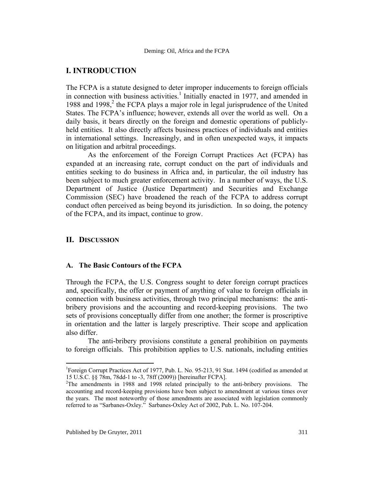# **I. INTRODUCTION**

The FCPA is a statute designed to deter improper inducements to foreign officials in connection with business activities.<sup>1</sup> Initially enacted in 1977, and amended in 1988 and 1998, $2$  the FCPA plays a major role in legal jurisprudence of the United States. The FCPA's influence; however, extends all over the world as well. On a daily basis, it bears directly on the foreign and domestic operations of publiclyheld entities. It also directly affects business practices of individuals and entities in international settings. Increasingly, and in often unexpected ways, it impacts on litigation and arbitral proceedings.

 As the enforcement of the Foreign Corrupt Practices Act (FCPA) has expanded at an increasing rate, corrupt conduct on the part of individuals and entities seeking to do business in Africa and, in particular, the oil industry has been subject to much greater enforcement activity. In a number of ways, the U.S. Department of Justice (Justice Department) and Securities and Exchange Commission (SEC) have broadened the reach of the FCPA to address corrupt conduct often perceived as being beyond its jurisdiction. In so doing, the potency of the FCPA, and its impact, continue to grow.

#### **II. DISCUSSION**

 $\overline{a}$ 

#### **A. The Basic Contours of the FCPA**

Through the FCPA, the U.S. Congress sought to deter foreign corrupt practices and, specifically, the offer or payment of anything of value to foreign officials in connection with business activities, through two principal mechanisms: the antibribery provisions and the accounting and record-keeping provisions. The two sets of provisions conceptually differ from one another; the former is proscriptive in orientation and the latter is largely prescriptive. Their scope and application also differ.

 The anti-bribery provisions constitute a general prohibition on payments to foreign officials. This prohibition applies to U.S. nationals, including entities

<sup>&</sup>lt;sup>1</sup>Foreign Corrupt Practices Act of 1977, Pub. L. No. 95-213, 91 Stat. 1494 (codified as amended at 15 U.S.C. §§ 78m, 78dd-1 to -3, 78ff (2009)) [hereinafter FCPA].

 $2$ The amendments in 1988 and 1998 related principally to the anti-bribery provisions. The accounting and record-keeping provisions have been subject to amendment at various times over the years. The most noteworthy of those amendments are associated with legislation commonly referred to as "Sarbanes-Oxley." Sarbanes-Oxley Act of 2002, Pub. L. No. 107-204.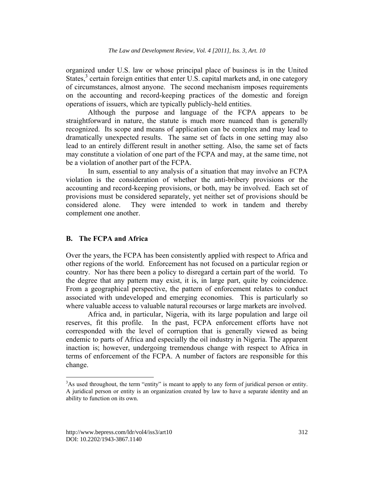organized under U.S. law or whose principal place of business is in the United States, $3$  certain foreign entities that enter U.S. capital markets and, in one category of circumstances, almost anyone. The second mechanism imposes requirements on the accounting and record-keeping practices of the domestic and foreign operations of issuers, which are typically publicly-held entities.

 Although the purpose and language of the FCPA appears to be straightforward in nature, the statute is much more nuanced than is generally recognized. Its scope and means of application can be complex and may lead to dramatically unexpected results. The same set of facts in one setting may also lead to an entirely different result in another setting. Also, the same set of facts may constitute a violation of one part of the FCPA and may, at the same time, not be a violation of another part of the FCPA.

 In sum, essential to any analysis of a situation that may involve an FCPA violation is the consideration of whether the anti-bribery provisions or the accounting and record-keeping provisions, or both, may be involved. Each set of provisions must be considered separately, yet neither set of provisions should be considered alone. They were intended to work in tandem and thereby complement one another.

#### **B. The FCPA and Africa**

Over the years, the FCPA has been consistently applied with respect to Africa and other regions of the world. Enforcement has not focused on a particular region or country. Nor has there been a policy to disregard a certain part of the world. To the degree that any pattern may exist, it is, in large part, quite by coincidence. From a geographical perspective, the pattern of enforcement relates to conduct associated with undeveloped and emerging economies. This is particularly so where valuable access to valuable natural recourses or large markets are involved.

 Africa and, in particular, Nigeria, with its large population and large oil reserves, fit this profile. In the past, FCPA enforcement efforts have not corresponded with the level of corruption that is generally viewed as being endemic to parts of Africa and especially the oil industry in Nigeria. The apparent inaction is; however, undergoing tremendous change with respect to Africa in terms of enforcement of the FCPA. A number of factors are responsible for this change.

 $3$ As used throughout, the term "entity" is meant to apply to any form of juridical person or entity. A juridical person or entity is an organization created by law to have a separate identity and an ability to function on its own.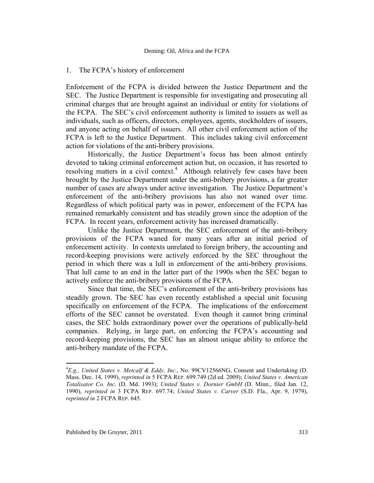#### 1. The FCPA's history of enforcement

Enforcement of the FCPA is divided between the Justice Department and the SEC. The Justice Department is responsible for investigating and prosecuting all criminal charges that are brought against an individual or entity for violations of the FCPA. The SEC's civil enforcement authority is limited to issuers as well as individuals, such as officers, directors, employees, agents, stockholders of issuers, and anyone acting on behalf of issuers. All other civil enforcement action of the FCPA is left to the Justice Department. This includes taking civil enforcement action for violations of the anti-bribery provisions.

 Historically, the Justice Department's focus has been almost entirely devoted to taking criminal enforcement action but, on occasion, it has resorted to resolving matters in a civil context.<sup>4</sup> Although relatively few cases have been brought by the Justice Department under the anti-bribery provisions, a far greater number of cases are always under active investigation. The Justice Department's enforcement of the anti-bribery provisions has also not waned over time. Regardless of which political party was in power, enforcement of the FCPA has remained remarkably consistent and has steadily grown since the adoption of the FCPA. In recent years, enforcement activity has increased dramatically.

 Unlike the Justice Department, the SEC enforcement of the anti-bribery provisions of the FCPA waned for many years after an initial period of enforcement activity. In contexts unrelated to foreign bribery, the accounting and record-keeping provisions were actively enforced by the SEC throughout the period in which there was a lull in enforcement of the anti-bribery provisions. That lull came to an end in the latter part of the 1990s when the SEC began to actively enforce the anti-bribery provisions of the FCPA.

 Since that time, the SEC's enforcement of the anti-bribery provisions has steadily grown. The SEC has even recently established a special unit focusing specifically on enforcement of the FCPA. The implications of the enforcement efforts of the SEC cannot be overstated. Even though it cannot bring criminal cases, the SEC holds extraordinary power over the operations of publically-held companies. Relying, in large part, on enforcing the FCPA's accounting and record-keeping provisions, the SEC has an almost unique ability to enforce the anti-bribery mandate of the FCPA.

<u>.</u>

<sup>4</sup> *E.g., United States v. Metcalf & Eddy, Inc*., No. 99CV12566NG, Consent and Undertaking (D. Mass. Dec. 14, 1999), *reprinted in* 5 FCPA REP. 699.749 (2d ed. 2009); *United States v. American Totalisator Co. Inc*. (D. Md. 1993); *United States v. Dornier GmbH* (D. Minn., filed Jan. 12, 1990), *reprinted in* 3 FCPA REP. 697.74; *United States v. Carver* (S.D. Fla., Apr. 9, 1979), *reprinted in* 2 FCPA REP. 645.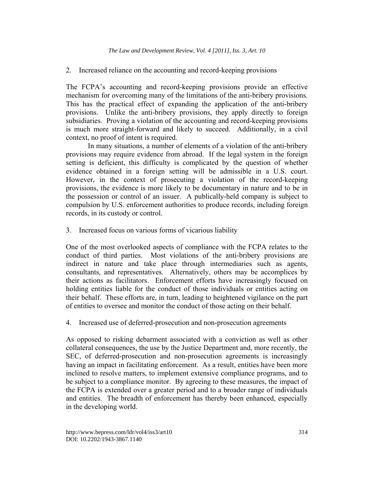2. Increased reliance on the accounting and record-keeping provisions

The FCPA's accounting and record-keeping provisions provide an effective mechanism for overcoming many of the limitations of the anti-bribery provisions. This has the practical effect of expanding the application of the anti-bribery provisions. Unlike the anti-bribery provisions, they apply directly to foreign subsidiaries. Proving a violation of the accounting and record-keeping provisions is much more straight-forward and likely to succeed. Additionally, in a civil context, no proof of intent is required.

 In many situations, a number of elements of a violation of the anti-bribery provisions may require evidence from abroad. If the legal system in the foreign setting is deficient, this difficulty is complicated by the question of whether evidence obtained in a foreign setting will be admissible in a U.S. court. However, in the context of prosecuting a violation of the record-keeping provisions, the evidence is more likely to be documentary in nature and to be in the possession or control of an issuer. A publically-held company is subject to compulsion by U.S. enforcement authorities to produce records, including foreign records, in its custody or control.

3. Increased focus on various forms of vicarious liability

One of the most overlooked aspects of compliance with the FCPA relates to the conduct of third parties. Most violations of the anti-bribery provisions are indirect in nature and take place through intermediaries such as agents, consultants, and representatives. Alternatively, others may be accomplices by their actions as facilitators. Enforcement efforts have increasingly focused on holding entities liable for the conduct of those individuals or entities acting on their behalf. These efforts are, in turn, leading to heightened vigilance on the part of entities to oversee and monitor the conduct of those acting on their behalf.

4. Increased use of deferred-prosecution and non-prosecution agreements

As opposed to risking debarment associated with a conviction as well as other collateral consequences, the use by the Justice Department and, more recently, the SEC, of deferred-prosecution and non-prosecution agreements is increasingly having an impact in facilitating enforcement. As a result, entities have been more inclined to resolve matters, to implement extensive compliance programs, and to be subject to a compliance monitor. By agreeing to these measures, the impact of the FCPA is extended over a greater period and to a broader range of individuals and entities. The breadth of enforcement has thereby been enhanced, especially in the developing world.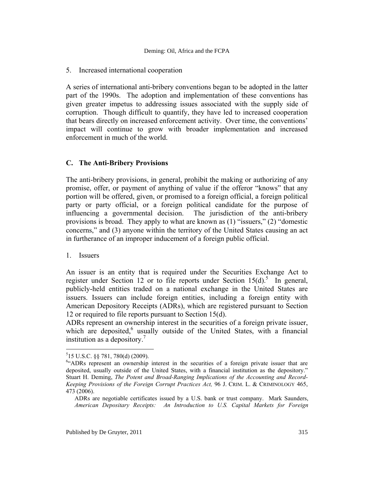### 5. Increased international cooperation

A series of international anti-bribery conventions began to be adopted in the latter part of the 1990s. The adoption and implementation of these conventions has given greater impetus to addressing issues associated with the supply side of corruption. Though difficult to quantify, they have led to increased cooperation that bears directly on increased enforcement activity. Over time, the conventions' impact will continue to grow with broader implementation and increased enforcement in much of the world.

# **C. The Anti-Bribery Provisions**

The anti-bribery provisions, in general, prohibit the making or authorizing of any promise, offer, or payment of anything of value if the offeror "knows" that any portion will be offered, given, or promised to a foreign official, a foreign political party or party official, or a foreign political candidate for the purpose of influencing a governmental decision. The jurisdiction of the anti-bribery provisions is broad. They apply to what are known as (1) "issuers," (2) "domestic concerns," and (3) anyone within the territory of the United States causing an act in furtherance of an improper inducement of a foreign public official.

1. Issuers

 $\overline{a}$ 

An issuer is an entity that is required under the Securities Exchange Act to register under Section 12 or to file reports under Section  $15(d)$ .<sup>5</sup> In general, publicly-held entities traded on a national exchange in the United States are issuers. Issuers can include foreign entities, including a foreign entity with American Depository Receipts (ADRs), which are registered pursuant to Section 12 or required to file reports pursuant to Section 15(d).

ADRs represent an ownership interest in the securities of a foreign private issuer, which are deposited, $6$  usually outside of the United States, with a financial institution as a depository.<sup>7</sup>

 $515$  U.S.C. §§ 781, 780(d) (2009).

<sup>&</sup>lt;sup>644</sup>ADRs represent an ownership interest in the securities of a foreign private issuer that are deposited, usually outside of the United States, with a financial institution as the depository." Stuart H. Deming, *The Potent and Broad-Ranging Implications of the Accounting and Record-Keeping Provisions of the Foreign Corrupt Practices Act,* 96 J. CRIM. L. & CRIMINOLOGY 465, 473 (2006).

ADRs are negotiable certificates issued by a U.S. bank or trust company. Mark Saunders, *American Depositary Receipts: An Introduction to U.S. Capital Markets for Foreign*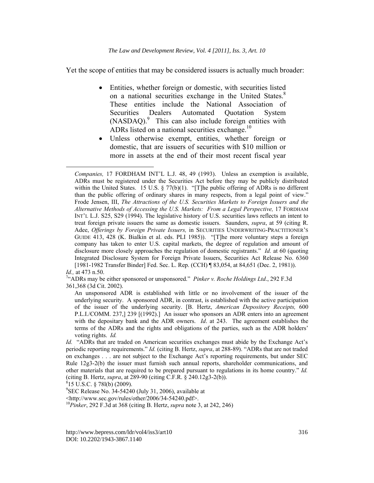Yet the scope of entities that may be considered issuers is actually much broader:

- Entities, whether foreign or domestic, with securities listed on a national securities exchange in the United States.<sup>8</sup> These entities include the National Association of Securities Dealers Automated Quotation System (NASDAQ).<sup>9</sup> This can also include foreign entities with ADRs listed on a national securities exchange.<sup>10</sup>
- Unless otherwise exempt, entities, whether foreign or domestic, that are issuers of securities with \$10 million or more in assets at the end of their most recent fiscal year

 $\overline{a}$ 

<sup>7</sup>"ADRs may be either sponsored or unsponsored." *Pinker v. Roche Holdings Ltd.*, 292 F.3d 361,368 (3d Cit. 2002).

An unsponsored ADR is established with little or no involvement of the issuer of the underlying security. A sponsored ADR, in contrast, is established with the active participation of the issuer of the underlying security. [B. Hertz, *American Depository Receipts,* 600 P.L.I./COMM. 237,] 239 [(1992).] An issuer who sponsors an ADR enters into an agreement with the depositary bank and the ADR owners. *Id*. at 243. The agreement establishes the terms of the ADRs and the rights and obligations of the parties, such as the ADR holders' voting rights. *Id.*

*Id.* "ADRs that are traded on American securities exchanges must abide by the Exchange Act's periodic reporting requirements." *Id.* (citing B. Hertz, *supra*, at 288-89). "ADRs that are not traded on exchanges . . . are not subject to the Exchange Act's reporting requirements, but under SEC Rule 12g3-2(b) the issuer must furnish such annual reports, shareholder communications, and other materials that are required to be prepared pursuant to regulations in its home country." *Id.* (citing B. Hertz, *supra*, at 289-90 (citing C.F.R. § 240.12g3-2(b)). 8

 $815$  U.S.C. § 781(b) (2009).

9 SEC Release No. 34-54240 (July 31, 2006), available at

<http://www.sec.gov/rules/other/2006/34-54240.pdf>.

<sup>10</sup>*Pinker*, 292 F.3d at 368 (citing B. Hertz, *supra* note 3, at 242, 246)

http://www.bepress.com/ldr/vol4/iss3/art10 DOI: 10.2202/1943-3867.1140

*Companies,* 17 FORDHAM INT'L L.J. 48, 49 (1993). Unless an exemption is available, ADRs must be registered under the Securities Act before they may be publicly distributed within the United States. 15 U.S.  $\S 77(b)(1)$ . "[T]he public offering of ADRs is no different than the public offering of ordinary shares in many respects, from a legal point of view." Frode Jensen, III, *The Attractions of the U.S. Securities Markets to Foreign Issuers and the Alternative Methods of Accessing the U.S. Markets: From a Legal Perspective,* 17 FORDHAM INT'L L.J. S25, S29 (1994). The legislative history of U.S. securities laws reflects an intent to treat foreign private issuers the same as domestic issuers. Saunders, *supra*, at 59 (citing R. Adee, *Offerings by Foreign Private Issuers,* in SECURITIES UNDERWRITING-PRACTITIONER'S GUIDE 413, 428 (K. Bialkin et al. eds. PLI 1985)). "[T]he more voluntary steps a foreign company has taken to enter U.S. capital markets, the degree of regulation and amount of disclosure more closely approaches the regulation of domestic registrants." *Id.* at 60 (quoting Integrated Disclosure System for Foreign Private Issuers, Securities Act Release No. 6360 [1981-1982 Transfer Binder] Fed. Sec. L. Rep. (CCH) ¶ 83,054, at 84,651 (Dec. 2, 1981)).

*Id.*, at 473 n.50.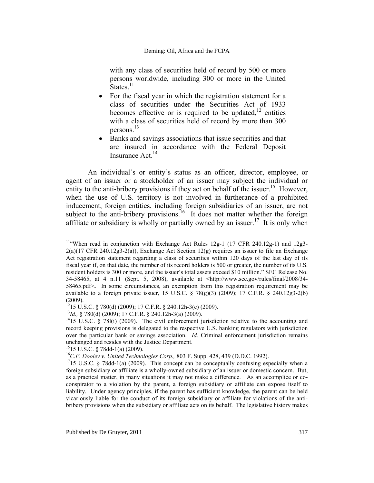with any class of securities held of record by 500 or more persons worldwide, including 300 or more in the United States.<sup>11</sup>

- For the fiscal year in which the registration statement for a class of securities under the Securities Act of 1933 becomes effective or is required to be updated, $12$  entities with a class of securities held of record by more than 300 persons.13
- Banks and savings associations that issue securities and that are insured in accordance with the Federal Deposit Insurance Act.<sup>14</sup>

 An individual's or entity's status as an officer, director, employee, or agent of an issuer or a stockholder of an issuer may subject the individual or entity to the anti-bribery provisions if they act on behalf of the issuer.<sup>15</sup> However, when the use of U.S. territory is not involved in furtherance of a prohibited inducement, foreign entities, including foreign subsidiaries of an issuer, are not subject to the anti-bribery provisions.<sup>16</sup> It does not matter whether the foreign affiliate or subsidiary is wholly or partially owned by an issuer.<sup>17</sup> It is only when

<sup>&</sup>lt;sup>11</sup>"When read in conjunction with Exchange Act Rules 12g-1 (17 CFR 240.12g-1) and 12g3- $2(a)(17 \text{ CFR } 240.12g3 - 2(a))$ , Exchange Act Section  $12(g)$  requires an issuer to file an Exchange Act registration statement regarding a class of securities within 120 days of the last day of its fiscal year if, on that date, the number of its record holders is 500 or greater, the number of its U.S. resident holders is 300 or more, and the issuer's total assets exceed \$10 million." SEC Release No. 34-58465, at 4 n.11 (Sept. 5, 2008), available at <http://www.sec.gov/rules/final/2008/34- 58465.pdf>**.** In some circumstances, an exemption from this registration requirement may be available to a foreign private issuer, 15 U.S.C. § 78(g)(3) (2009); 17 C.F.R. § 240.12g3-2(b) (2009).

 $^{12}$ 15 U.S.C. § 780(d) (2009); 17 C.F.R. § 240.12h-3(c) (2009).

<sup>&</sup>lt;sup>13</sup>*Id.*, § 780(d) (2009); 17 C.F.R. § 240.12h-3(a) (2009).<br><sup>14</sup>15 U.S.C. § 78l(i) (2009). The civil enforcement jurisdiction relative to the accounting and record keeping provisions is delegated to the respective U.S. banking regulators with jurisdiction over the particular bank or savings association. *Id.* Criminal enforcement jurisdiction remains unchanged and resides with the Justice Department.

 $^{15}$ 15 U.S.C. § 78dd-1(a) (2009).<br><sup>16</sup>C.F. Dooley v. United Technologies Corp., 803 F. Supp. 428, 439 (D.D.C. 1992).

<sup>&</sup>lt;sup>17</sup>15 U.S.C. § 78dd-1(a) (2009). This concept can be conceptually confusing especially when a foreign subsidiary or affiliate is a wholly-owned subsidiary of an issuer or domestic concern. But, as a practical matter, in many situations it may not make a difference. As an accomplice or coconspirator to a violation by the parent, a foreign subsidiary or affiliate can expose itself to liability. Under agency principles, if the parent has sufficient knowledge, the parent can be held vicariously liable for the conduct of its foreign subsidiary or affiliate for violations of the antibribery provisions when the subsidiary or affiliate acts on its behalf. The legislative history makes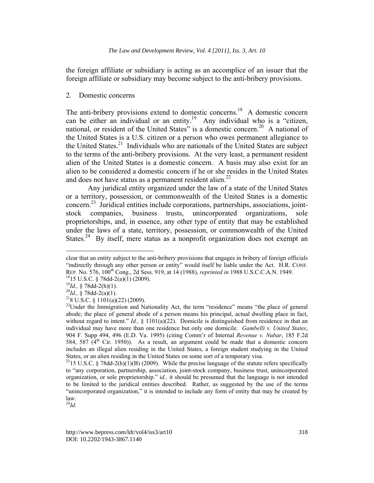the foreign affiliate or subsidiary is acting as an accomplice of an issuer that the foreign affiliate or subsidiary may become subject to the anti-bribery provisions.

## 2. Domestic concerns

The anti-bribery provisions extend to domestic concerns.<sup>18</sup> A domestic concern can be either an individual or an entity.<sup>19</sup> Any individual who is a "citizen, national, or resident of the United States" is a domestic concern.<sup>20</sup> A national of the United States is a U.S. citizen or a person who owes permanent allegiance to the United States.<sup>21</sup> Individuals who are nationals of the United States are subject to the terms of the anti-bribery provisions. At the very least, a permanent resident alien of the United States is a domestic concern. A basis may also exist for an alien to be considered a domestic concern if he or she resides in the United States and does not have status as a permanent resident alien.<sup>22</sup>

 Any juridical entity organized under the law of a state of the United States or a territory, possession, or commonwealth of the United States is a domestic concern.<sup>23</sup> Juridical entities include corporations, partnerships, associations, jointstock companies, business trusts, unincorporated organizations, sole proprietorships, and, in essence, any other type of entity that may be established under the laws of a state, territory, possession, or commonwealth of the United States.<sup>24</sup> By itself, mere status as a nonprofit organization does not exempt an

clear that an entity subject to the anti-bribery provisions that engages in bribery of foreign officials "indirectly through any other person or entity" would itself be liable under the Act. H.R. CONF. REP. No. 576, 100<sup>th</sup> Cong., 2d Sess. 919, at 14 (1988), *reprinted in* 1988 U.S.C.C.A.N. 1949.<br><sup>18</sup>15 U.S.C. § 78dd-2(a)(1) (2009).<br><sup>19</sup>*Id.*, § 78dd-2(h)(1).

<sup>&</sup>lt;sup>20</sup>*Id.*, § 78dd-2(a)(1).<br><sup>21</sup>8 U.S.C. § 1101(a)(22) (2009).

 $^{22}$ Under the Immigration and Nationality Act, the term "residence" means "the place of general abode; the place of general abode of a person means his principal, actual dwelling place in fact, without regard to intent." *Id.*, § 1101(a)(22). Domicile is distinguished from residence in that an individual may have more than one residence but only one domicile. *Gambelli v. United States*, 904 F. Supp 494, 496 (E.D. Va. 1995) (citing Comm'r of Internal *Revenue v. Nubar*, 185 F.2d 584, 587  $(4<sup>th</sup>$  Cir. 1950)). As a result, an argument could be made that a domestic concern includes an illegal alien residing in the United States, a foreign student studying in the United States, or an alien residing in the United States on some sort of a temporary visa.<br><sup>23</sup>15 U.S.C. § 78dd-2(h)(1)(B) (2009). While the precise language of the statute refers specifically

to "any corporation, partnership, association, joint-stock company, business trust, unincorporated organization, or sole proprietorship." *id.,* it should be presumed that the language is not intended to be limited to the juridical entities described. Rather, as suggested by the use of the terms "unincorporated organization," it is intended to include any form of entity that may be created by law.

 $^{24}Id$ .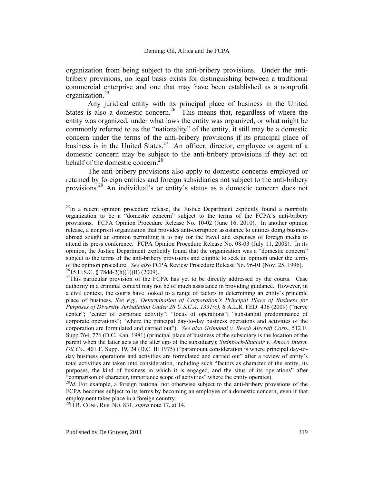organization from being subject to the anti-bribery provisions. Under the antibribery provisions, no legal basis exists for distinguishing between a traditional commercial enterprise and one that may have been established as a nonprofit organization.<sup>25</sup>

 Any juridical entity with its principal place of business in the United States is also a domestic concern.<sup>26</sup> This means that, regardless of where the entity was organized, under what laws the entity was organized, or what might be commonly referred to as the "nationality" of the entity, it still may be a domestic concern under the terms of the anti-bribery provisions if its principal place of business is in the United States.<sup>27</sup> An officer, director, employee or agent of a domestic concern may be subject to the anti-bribery provisions if they act on behalf of the domestic concern.<sup>28</sup>

 The anti-bribery provisions also apply to domestic concerns employed or retained by foreign entities and foreign subsidiaries not subject to the anti-bribery provisions.<sup>29</sup> An individual's or entity's status as a domestic concern does not

29H.R. CONF. REP. NO. 831, *supra* note 17, at 14.

 $^{25}$ In a recent opinion procedure release, the Justice Department explicitly found a nonprofit organization to be a "domestic concern" subject to the terms of the FCPA's anti-bribery provisions. FCPA Opinion Procedure Release No. 10-02 (June 16, 2010). In another opinion release, a nonprofit organization that provides anti-corruption assistance to entities doing business abroad sought an opinion permitting it to pay for the travel and expenses of foreign media to attend its press conference. FCPA Opinion Procedure Release No. 08-03 (July 11, 2008). In its opinion, the Justice Department explicitly found that the organization was a "domestic concern" subject to the terms of the anti-bribery provisions and eligible to seek an opinion under the terms of the opinion procedure. *See also* FCPA Review Procedure Release No. 96-01 (Nov. 25, 1996). 2615 U.S.C. § 78dd-2(h)(1)(B) (2009).

 $^{27}$ This particular provision of the FCPA has yet to be directly addressed by the courts. Case authority in a criminal context may not be of much assistance in providing guidance. However, in a civil context, the courts have looked to a range of factors in determining an entity's principle place of business. *See e.g., Determination of Corporation's Principal Place of Business for Purposes of Diversity Jurisdiction Under 28 U.S.C.A. 1331(c),* 6 A.L.R. FED. 436 (2009) ("nerve center"; "center of corporate activity"; "locus of operations"; "substantial predominance of corporate operations"; "where the principal day-to-day business operations and activities of the corporation are formulated and carried out"). *See also Grimandi v. Beech Aircraft Corp*., 512 F. Supp 764, 776 (D.C. Kan. 1981) (principal place of business of the subsidiary is the location of the parent when the latter acts as the alter ego of the subsidiary); *Steinbock-Sinclair v. Amoco Intern. Oil Co*., 401 F. Supp. 19, 24 (D.C. Ill 1975) ("paramount consideration is where principal day-today business operations and activities are formulated and carried out" after a review of entity's total activities are taken into consideration, including such "factors as character of the entity, its purposes, the kind of business in which it is engaged, and the situs of its operations" after "comparison of character, importance scope of activities" where the entity operates).<br><sup>28</sup>*Id*. For example, a foreign national not otherwise subject to the anti-bribery provisions of the

FCPA becomes subject to its terms by becoming an employee of a domestic concern, even if that employment takes place in a foreign country.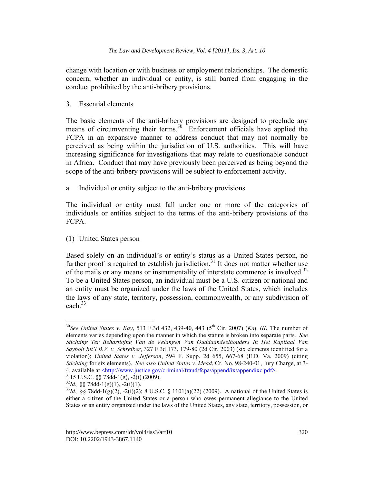change with location or with business or employment relationships. The domestic concern, whether an individual or entity, is still barred from engaging in the conduct prohibited by the anti-bribery provisions.

3. Essential elements

The basic elements of the anti-bribery provisions are designed to preclude any means of circumventing their terms. $30$  Enforcement officials have applied the FCPA in an expansive manner to address conduct that may not normally be perceived as being within the jurisdiction of U.S. authorities. This will have increasing significance for investigations that may relate to questionable conduct in Africa. Conduct that may have previously been perceived as being beyond the scope of the anti-bribery provisions will be subject to enforcement activity.

a. Individual or entity subject to the anti-bribery provisions

The individual or entity must fall under one or more of the categories of individuals or entities subject to the terms of the anti-bribery provisions of the FCPA.

(1) United States person

Based solely on an individual's or entity's status as a United States person, no further proof is required to establish jurisdiction.<sup>31</sup> It does not matter whether use of the mails or any means or instrumentality of interstate commerce is involved.<sup>32</sup> To be a United States person, an individual must be a U.S. citizen or national and an entity must be organized under the laws of the United States, which includes the laws of any state, territory, possession, commonwealth, or any subdivision of each.33

<sup>&</sup>lt;sup>30</sup>See *United States v. Kay*, 513 F.3d 432, 439-40, 443 (5<sup>th</sup> Cir. 2007) (*Kay III*) The number of elements varies depending upon the manner in which the statute is broken into separate parts. *See Stichting Ter Behartiging Van de Velangen Van Ouddaandeelhouders In Het Kapitaal Van Saybolt Int'l B.V. v. Schreiber*, 327 F.3d 173, 179-80 (2d Cir. 2003) (six elements identified for a violation); *United States v. Jefferson*, 594 F. Supp. 2d 655, 667-68 (E.D. Va. 2009) (citing *Stichting* for six elements). *See also United States v. Mead*, Cr. No. 98-240-01, Jury Charge, at 3- 4, available at  $\frac{\text{http://www.justice.gov/criminal/frau/fcpa/append/ix/appendixc.pdf}{}$ <br><sup>31</sup>15 U.S.C. §§ 78dd-1(g), -2(i) (2009).<br><sup>32</sup>*Id.*, §§ 78dd-1(g)(1), -2(i)(1).

 $^{33}$ *Id.*, §§ 78dd-1(g)(2), -2(i)(2); 8 U.S.C. § 1101(a)(22) (2009). A national of the United States is either a citizen of the United States or a person who owes permanent allegiance to the United States or an entity organized under the laws of the United States, any state, territory, possession, or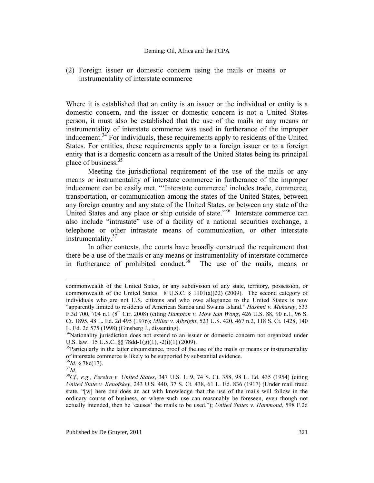#### Deming: Oil, Africa and the FCPA

(2) Foreign issuer or domestic concern using the mails or means or instrumentality of interstate commerce

Where it is established that an entity is an issuer or the individual or entity is a domestic concern, and the issuer or domestic concern is not a United States person, it must also be established that the use of the mails or any means or instrumentality of interstate commerce was used in furtherance of the improper inducement.<sup>34</sup> For individuals, these requirements apply to residents of the United States. For entities, these requirements apply to a foreign issuer or to a foreign entity that is a domestic concern as a result of the United States being its principal place of business.<sup>35</sup>

 Meeting the jurisdictional requirement of the use of the mails or any means or instrumentality of interstate commerce in furtherance of the improper inducement can be easily met. "'Interstate commerce' includes trade, commerce, transportation, or communication among the states of the United States, between any foreign country and any state of the United States, or between any state of the United States and any place or ship outside of state.<sup>36</sup> Interstate commerce can also include "intrastate" use of a facility of a national securities exchange, a telephone or other intrastate means of communication, or other interstate instrumentality.<sup>37</sup>

 In other contexts, the courts have broadly construed the requirement that there be a use of the mails or any means or instrumentality of interstate commerce in furtherance of prohibited conduct.<sup>38</sup> The use of the mails, means or

<u>.</u>

commonwealth of the United States, or any subdivision of any state, territory, possession, or commonwealth of the United States. 8 U.S.C. § 1101(a)(22) (2009). The second category of individuals who are not U.S. citizens and who owe allegiance to the United States is now "apparently limited to residents of American Samoa and Swains Island." *Hashmi v. Mukasey*, 533 F.3d 700, 704 n.1 (8th Cir. 2008) (citing *Hampton v. Mow Sun Wong*, 426 U.S. 88, 90 n.1, 96 S. Ct. 1895, 48 L. Ed. 2d 495 (1976); *Miller v. Albright*, 523 U.S. 420, 467 n.2, 118 S. Ct. 1428, 140 L. Ed. 2d 575 (1998) (Ginsberg J., dissenting).

<sup>&</sup>lt;sup>34</sup>Nationality jurisdiction does not extend to an issuer or domestic concern not organized under U.S. law. 15 U.S.C. §§ 78dd-1(g)(1), -2(i)(1) (2009).

 $35$ Particularly in the latter circumstance, proof of the use of the mails or means or instrumentality of interstate commerce is likely to be supported by substantial evidence.<br><sup>36</sup>*Id*. § 78c(17).<br><sup>37</sup>*Id*.

<sup>38</sup>*Cf., e.g., Pereira v. United States*, 347 U.S. 1, 9, 74 S. Ct. 358, 98 L. Ed. 435 (1954) (citing *United State v. Kenofskey*, 243 U.S. 440, 37 S. Ct. 438, 61 L. Ed. 836 (1917) (Under mail fraud state, "[w] here one does an act with knowledge that the use of the mails will follow in the ordinary course of business, or where such use can reasonably be foreseen, even though not actually intended, then he 'causes' the mails to be used."); *United States v. Hammond*, 598 F.2d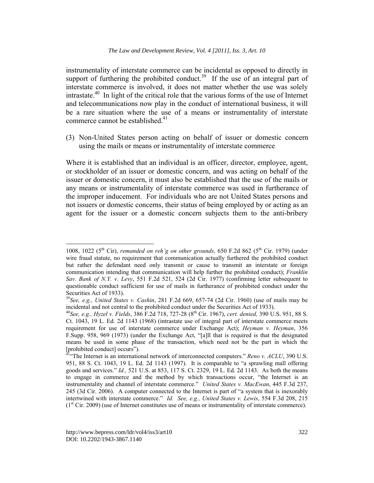instrumentality of interstate commerce can be incidental as opposed to directly in support of furthering the prohibited conduct.<sup>39</sup> If the use of an integral part of interstate commerce is involved, it does not matter whether the use was solely intrastate.<sup>40</sup> In light of the critical role that the various forms of the use of Internet and telecommunications now play in the conduct of international business, it will be a rare situation where the use of a means or instrumentality of interstate commerce cannot be established. $41$ 

(3) Non-United States person acting on behalf of issuer or domestic concern using the mails or means or instrumentality of interstate commerce

Where it is established that an individual is an officer, director, employee, agent, or stockholder of an issuer or domestic concern, and was acting on behalf of the issuer or domestic concern, it must also be established that the use of the mails or any means or instrumentality of interstate commerce was used in furtherance of the improper inducement. For individuals who are not United States persons and not issuers or domestic concerns, their status of being employed by or acting as an agent for the issuer or a domestic concern subjects them to the anti-bribery

<sup>1008, 1022 (5&</sup>lt;sup>th</sup> Cir), *remanded on reh'g on other grounds*, 650 F.2d 862 (5<sup>th</sup> Cir. 1979) (under wire fraud statute, no requirement that communication actually furthered the prohibited conduct but rather the defendant need only transmit or cause to transmit an interstate or foreign communication intending that communication will help further the prohibited conduct); *Franklin Sav. Bank of N.Y. v. Levy*, 551 F.2d 521, 524 (2d Cir. 1977) (confirming letter subsequent to questionable conduct sufficient for use of mails in furtherance of prohibited conduct under the Securities Act of 1933).

<sup>39</sup>*See, e.g., United States v. Cashin*, 281 F.2d 669, 657-74 (2d Cir. 1960) (use of mails may be incidental and not central to the prohibited conduct under the Securities Act of 1933).

<sup>40</sup>*See, e.g., Hyzel v. Fields*, 386 F.2d 718, 727-28 (8th Cir. 1967), *cert. denied,* 390 U.S. 951, 88 S. Ct. 1043, 19 L. Ed. 2d 1143 (1968) (intrastate use of integral part of interstate commerce meets requirement for use of interstate commerce under Exchange Act); *Heyman v. Heyman*, 356 F.Supp. 958, 969 (1973) (under the Exchange Act, "[a]ll that is required is that the designated means be used in some phase of the transaction, which need not be the part in which the [prohibited conduct] occurs").

<sup>&</sup>lt;sup>41</sup><sup>41</sup> The Internet is an international network of interconnected computers." *Reno v. ACLU*, 390 U.S. 951, 88 S. Ct. 1043, 19 L. Ed. 2d 1143 (1997). It is comparable to "a sprawling mall offering goods and services." *Id.,* 521 U.S. at 853, 117 S. Ct. 2329, 19 L. Ed. 2d 1143. As both the means to engage in commerce and the method by which transactions occur, "the Internet is an instrumentality and channel of interstate commerce." *United States v. MacEwan*, 445 F.3d 237, 245 (3d Cir. 2006). A computer connected to the Internet is part of "a system that is inexorably intertwined with interstate commerce." *Id. See, e.g., United States v. Lewis*, 554 F.3d 208, 215  $(1<sup>st</sup> Cir. 2009)$  (use of Internet constitutes use of means or instrumentality of interstate commerce).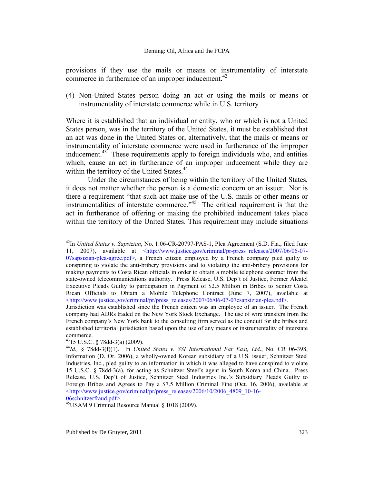#### Deming: Oil, Africa and the FCPA

provisions if they use the mails or means or instrumentality of interstate commerce in furtherance of an improper inducement. $42$ 

(4) Non-United States person doing an act or using the mails or means or instrumentality of interstate commerce while in U.S. territory

Where it is established that an individual or entity, who or which is not a United States person, was in the territory of the United States, it must be established that an act was done in the United States or, alternatively, that the mails or means or instrumentality of interstate commerce were used in furtherance of the improper inducement.<sup>43</sup> These requirements apply to foreign individuals who, and entities which, cause an act in furtherance of an improper inducement while they are within the territory of the United States.<sup>44</sup>

 Under the circumstances of being within the territory of the United States, it does not matter whether the person is a domestic concern or an issuer. Nor is there a requirement "that such act make use of the U.S. mails or other means or instrumentalities of interstate commerce."<sup>45</sup> The critical requirement is that the act in furtherance of offering or making the prohibited inducement takes place within the territory of the United States. This requirement may include situations

<sup>42</sup>In *United States v. Sapsizian*, No. 1:06-CR-20797-PAS-1, Plea Agreement (S.D. Fla., filed June 11, 2007), available at <http://www.justice.gov/criminal/pr-press\_releases/2007/06/06-07-  $07$ sapsizian-plea-agree.pdf>, a French citizen employed by a French company pled guilty to conspiring to violate the anti-bribery provisions and to violating the anti-bribery provisions for making payments to Costa Rican officials in order to obtain a mobile telephone contract from the state-owned telecommunications authority. Press Release, U.S. Dep't of Justice, Former Alcatel Executive Pleads Guilty to participation in Payment of \$2.5 Million in Bribes to Senior Costa Rican Officials to Obtain a Mobile Telephone Contract (June 7, 2007), available at <http://www.justice.gov/criminal/pr/press\_releases/2007/06/06-07-07csapsizian-plea.pdf>.

Jurisdiction was established since the French citizen was an employee of an issuer. The French company had ADRs traded on the New York Stock Exchange. The use of wire transfers from the French company's New York bank to the consulting firm served as the conduit for the bribes and established territorial jurisdiction based upon the use of any means or instrumentality of interstate commerce.

 $4315$  U.S.C. § 78dd-3(a) (2009).

<sup>44</sup>*Id.,* § 78dd-3(f)(1). In *United States v. SSI International Far East, Ltd*., No. CR 06-398, Information (D. Or. 2006), a wholly-owned Korean subsidiary of a U.S. issuer, Schnitzer Steel Industries, Inc., pled guilty to an information in which it was alleged to have conspired to violate 15 U.S.C. § 78dd-3(a), for acting as Schnitzer Steel's agent in South Korea and China. Press Release, U.S. Dep't of Justice, Schnitzer Steel Industries Inc.'s Subsidiary Pleads Guilty to Foreign Bribes and Agrees to Pay a \$7.5 Million Criminal Fine (Oct. 16, 2006), available at <http://www.justice.gov/criminal/pr/press\_releases/2006/10/2006\_4809\_10-16-

<sup>06</sup>schnitzerfraud.pdf>.<br><sup>45</sup>USAM 9 Criminal Resource Manual § 1018 (2009).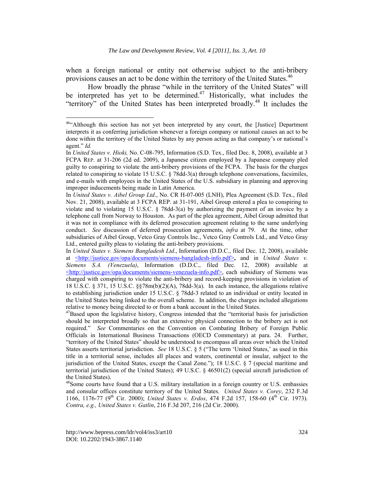when a foreign national or entity not otherwise subject to the anti-bribery provisions causes an act to be done within the territory of the United States.<sup>46</sup>

 How broadly the phrase "while in the territory of the United States" will be interpreted has yet to be determined.<sup>47</sup> Historically, what includes the "territory" of the United States has been interpreted broadly.48 It includes the

 $464$ <sup>46 $46$ </sup>Although this section has not yet been interpreted by any court, the [Justice] Department interprets it as conferring jurisdiction whenever a foreign company or national causes an act to be done within the territory of the United States by any person acting as that company's or national's agent." *Id.*

In *United States v. Hioki,* No. C-08-795, Information (S.D. Tex., filed Dec. 8, 2008), available at 3 FCPA REP. at 31-206 (2d ed. 2009), a Japanese citizen employed by a Japanese company pled guilty to conspiring to violate the anti-bribery provisions of the FCPA. The basis for the charges related to conspiring to violate 15 U.S.C. § 78dd-3(a) through telephone conversations, facsimiles, and e-mails with employees in the United States of the U.S. subsidiary in planning and approving improper inducements being made in Latin America.

In *United States v. Aibel Group Ltd*., No. CR H-07-005 (LNH), Plea Agreement (S.D. Tex., filed Nov. 21, 2008), available at 3 FCPA REP. at 31-191, Aibel Group entered a plea to conspiring to violate and to violating 15 U.S.C.  $\S$  78dd-3(a) by authorizing the payment of an invoice by a telephone call from Norway to Houston. As part of the plea agreement, Aibel Group admitted that it was not in compliance with its deferred prosecution agreement relating to the same underlying conduct. *See* discussion of deferred prosecution agreements, *infra* at 79. At the time, other subsidiaries of Aibel Group, Vetco Gray Controls Inc., Vetco Gray Controls Ltd., and Vetco Gray Ltd., entered guilty pleas to violating the anti-bribery provisions.

In *United States v. Siemens Bangladesh Ltd*., Information (D.D.C., filed Dec. 12, 2008), available at <http://justice.gov/opa/documents/siemens-bangladesh-info.pdf>**,** and in *United States v. Siemens S.A. (Venezuela)*, Information (D.D.C., filed Dec. 12, 2008) available at <http://justice.gov/opa/documents/siemens-venezuela-info.pdf>, each subsidiary of Siemens was charged with conspiring to violate the anti-bribery and record-keeping provisions in violation of 18 U.S.C. § 371, 15 U.S.C. §§78m(b)(2)(A), 78dd-3(a). In each instance, the allegations relative to establishing jurisdiction under 15 U.S.C. § 78dd-3 related to an individual or entity located in the United States being linked to the overall scheme. In addition, the charges included allegations relative to money being directed to or from a bank account in the United States.

 $^{47}$ Based upon the legislative history, Congress intended that the "territorial basis for jurisdiction should be interpreted broadly so that an extensive physical connection to the bribery act is not required." *See* Commentaries on the Convention on Combating Bribery of Foreign Public Officials in International Business Transactions (OECD Commentary) at para. 24. Further, "territory of the United States" should be understood to encompass all areas over which the United States asserts territorial jurisdiction. *See* 18 U.S.C. § 5 ("The term 'United States,' as used in this title in a territorial sense, includes all places and waters, continental or insular, subject to the jurisdiction of the United States, except the Canal Zone."); 18 U.S.C. § 7 (special maritime and territorial jurisdiction of the United States); 49 U.S.C. § 46501(2) (special aircraft jurisdiction of the United States).

 $^{48}$ Some courts have found that a U.S. military installation in a foreign country or U.S. embassies and consular offices constitute territory of the United States. *United States v. Corey*, 232 F.3d 1166, 1176-77 (9<sup>th</sup> Cir. 2000); *United States v. Erdos*, 474 F.2d 157, 158-60 (4<sup>th</sup> Cir. 1973). *Contra, e.g., United States v. Gatlin*, 216 F.3d 207, 216 (2d Cir. 2000).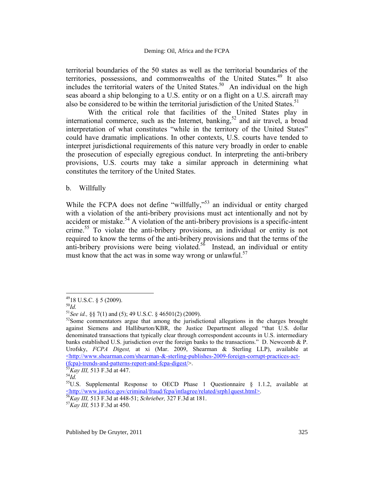territorial boundaries of the 50 states as well as the territorial boundaries of the territories, possessions, and commonwealths of the United States.<sup>49</sup> It also includes the territorial waters of the United States.<sup>50</sup> An individual on the high seas aboard a ship belonging to a U.S. entity or on a flight on a U.S. aircraft may also be considered to be within the territorial jurisdiction of the United States.<sup>51</sup>

 With the critical role that facilities of the United States play in international commerce, such as the Internet, banking, $52$  and air travel, a broad interpretation of what constitutes "while in the territory of the United States" could have dramatic implications. In other contexts, U.S. courts have tended to interpret jurisdictional requirements of this nature very broadly in order to enable the prosecution of especially egregious conduct. In interpreting the anti-bribery provisions, U.S. courts may take a similar approach in determining what constitutes the territory of the United States.

b. Willfully

While the FCPA does not define "willfully,"<sup>53</sup> an individual or entity charged with a violation of the anti-bribery provisions must act intentionally and not by accident or mistake.<sup>54</sup> A violation of the anti-bribery provisions is a specific-intent crime.55 To violate the anti-bribery provisions, an individual or entity is not required to know the terms of the anti-bribery provisions and that the terms of the anti-bribery provisions were being violated.<sup>56</sup> Instead, an individual or entity must know that the act was in some way wrong or unlawful.<sup>57</sup>

 $^{49}$ 18 U.S.C. § 5 (2009).

<sup>&</sup>lt;sup>50</sup>*Id.* <sup>51</sup>See id., §§ 7(1) and (5); 49 U.S.C. § 46501(2) (2009).

<sup>&</sup>lt;sup>52</sup>Some commentators argue that among the jurisdictional allegations in the charges brought against Siemens and Halliburton/KBR, the Justice Department alleged "that U.S. dollar denominated transactions that typically clear through correspondent accounts in U.S. intermediary banks established U.S. jurisdiction over the foreign banks to the transactions." D. Newcomb & P. Urofsky, *FCPA Digest,* at xi (Mar. 2009, Shearman & Sterling LLP), available at  $\text{th}(1)$  /www.shearman.com/shearman-&-sterling-publishes-2009-foreign-corrupt-practices-act-(fcpa)-trends-and-patterns-report-and-fcpa-digest/>. <sup>53</sup>*Kay III,* 513 F.3d at 447. 54*Id.* 

<sup>&</sup>lt;sup>55</sup>U.S. Supplemental Response to OECD Phase 1 Questionnaire  $\S$  1.1.2, available at  $\lt^{\text{http://www.iustice.gov/criminal/frau/fcpa/intlagree/related/srph1quest.html\gt}.$ 

<sup>&</sup>lt;http://www.justice.gov/criminal/fraud/fcpa/intlagree/related/srph1quest.html>. 56*Kay III,* 513 F.3d at 448-51; *Schrieber,* 327 F.3d at 181. 57*Kay III,* 513 F.3d at 450.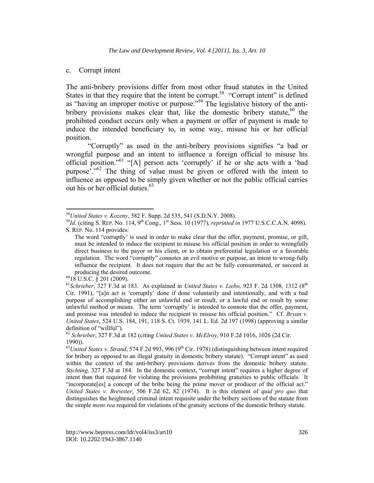#### c. Corrupt intent

The anti-bribery provisions differ from most other fraud statutes in the United States in that they require that the intent be corrupt.<sup>58</sup> "Corrupt intent" is defined as "having an improper motive or purpose."<sup>59</sup> The legislative history of the antibribery provisions makes clear that, like the domestic bribery statute,  $60$  the prohibited conduct occurs only when a payment or offer of payment is made to induce the intended beneficiary to, in some way, misuse his or her official position.

 "Corruptly" as used in the anti-bribery provisions signifies "a bad or wrongful purpose and an intent to influence a foreign official to misuse his official position."61 "[A] person acts 'corruptly' if he or she acts with a 'bad purpose'."<sup>62</sup> The thing of value must be given or offered with the intent to influence as opposed to be simply given whether or not the public official carries out his or her official duties.<sup>63</sup>

<sup>&</sup>lt;sup>58</sup>United States v. Kozeny, 582 F. Supp. 2d 535, 541 (S.D.N.Y. 2008).

<sup>&</sup>lt;sup>59</sup>*Id.* (citing S. REP. No. 114, 9<sup>th</sup> Cong., 1<sup>st</sup> Sess. 10 (1977), *reprinted in* 1977 U.S.C.C.A.N. 4098). S. REP. No. 114 provides:

The word "corruptly' is used in order to make clear that the offer, payment, promise, or gift, must be intended to induce the recipient to misuse his official position in order to wrongfully direct business to the payor or his client, or to obtain preferential legislation or a favorable regulation. The word "corruptly" connotes an evil motive or purpose, an intent to wrong-fully influence the recipient. It does not require that the act be fully consummated, or succeed in producing the desired outcome.<br><sup>60</sup>18 U.S.C. § 201 (2009).

<sup>&</sup>lt;sup>61</sup>Schrieber, 327 F.3d at 183. As explained in *United States v. Liebo*, 923 F. 2d 1308, 1312 (8<sup>th</sup> Cir. 1991), "[a]n act is 'corruptly' done if done voluntarily and intentionally, and with a bad purpose of accomplishing either an unlawful end or result, or a lawful end or result by some unlawful method or means. The term 'corruptly' is intended to connote that the offer, payment, and promise was intended to induce the recipient to misuse his official position." Cf. *Bryan v. United States*, 524 U.S. 184, 191, 118 S. Ct. 1939, 141 L. Ed. 2d 197 (1998) (approving a similar definition of "willful").

<sup>62</sup> *Schrieber*, 327 F.3d at 182 (citing *United States v. McElroy*, 910 F.2d 1016, 1026 (2d Cir. 1990)).

 $^{63}$ *United States v. Strand,* 574 F.2d 993, 996 (9<sup>th</sup> Cir. 1978) (distinguishing between intent required for bribery as opposed to an illegal gratuity in domestic bribery statute). "Corrupt intent" as used within the context of the anti-bribery provisions derives from the domestic bribery statute. *Stichting,* 327 F.3d at 184. In the domestic context, "corrupt intent" requires a higher degree of intent than that required for violating the provisions prohibiting gratuities to public officials. It "incorporate[es] a concept of the bribe being the prime mover or producer of the official act." *United States v. Brewster*, 506 F.2d 62, 82 (1974). It is this element of *quid pro quo* that distinguishes the heightened criminal intent requisite under the bribery sections of the statute from the simple *mens rea* required for violations of the gratuity sections of the domestic bribery statute.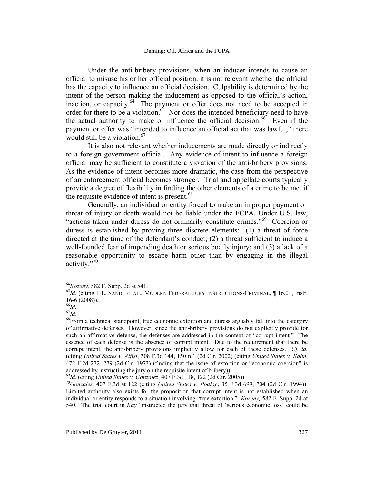Under the anti-bribery provisions, when an inducer intends to cause an official to misuse his or her official position, it is not relevant whether the official has the capacity to influence an official decision. Culpability is determined by the intent of the person making the inducement as opposed to the official's action, inaction, or capacity.<sup>64</sup> The payment or offer does not need to be accepted in order for there to be a violation.<sup>65</sup> Nor does the intended beneficiary need to have the actual authority to make or influence the official decision.<sup>66</sup> Even if the payment or offer was "intended to influence an official act that was lawful," there would still be a violation.<sup>67</sup>

 It is also not relevant whether inducements are made directly or indirectly to a foreign government official. Any evidence of intent to influence a foreign official may be sufficient to constitute a violation of the anti-bribery provisions. As the evidence of intent becomes more dramatic, the case from the perspective of an enforcement official becomes stronger. Trial and appellate courts typically provide a degree of flexibility in finding the other elements of a crime to be met if the requisite evidence of intent is present.<sup>68</sup>

 Generally, an individual or entity forced to make an improper payment on threat of injury or death would not be liable under the FCPA. Under U.S. law, "actions taken under duress do not ordinarily constitute crimes."69 Coercion or duress is established by proving three discrete elements: (1) a threat of force directed at the time of the defendant's conduct; (2) a threat sufficient to induce a well-founded fear of impending death or serious bodily injury; and (3) a lack of a reasonable opportunity to escape harm other than by engaging in the illegal activity."<sup>70</sup>

<sup>&</sup>lt;sup>64</sup>*Kozeny,* 582 F. Supp. 2d at 541.<br><sup>65</sup>*Id.* (citing 1 L. SAND, ET AL., MODERN FEDERAL JURY INSTRUCTIONS-CRIMINAL, ¶ 16.01, Instr. 16-6 (2008)).

<sup>66</sup>*Id.* 

 $^{67}$ *Id.* 

<sup>&</sup>lt;sup>68</sup>From a technical standpoint, true economic extortion and duress arguably fall into the category of affirmative defenses. However, since the anti-bribery provisions do not explicitly provide for such an affirmative defense, the defenses are addressed in the context of "corrupt intent." The essence of each defense is the absence of corrupt intent. Due to the requirement that there be corrupt intent, the anti-bribery provisions implicitly allow for each of these defenses. *Cf. id.*  (citing *United States v. Alfisi*, 308 F.3d 144, 150 n.1 (2d Cir. 2002) (citing *United States v. Kahn*, 472 F.2d 272, 279 (2d Cir. 1973) (finding that the issue of extortion or "economic coercion" is addressed by instructing the jury on the requisite intent of bribery)).<br><sup>69</sup>*Id.* (citing *United States v. Gonzalez*, 407 F.3d 118, 122 (2d Cir. 2005)).<br><sup>70</sup>*Gonzalez*, 407 F.3d at 122 (citing *United States v. Podlog*,

Limited authority also exists for the proposition that corrupt intent is not established when an individual or entity responds to a situation involving "true extortion." *Kozeny,* 582 F. Supp. 2d at 540. The trial court in *Kay* "instructed the jury that threat of 'serious economic loss' could be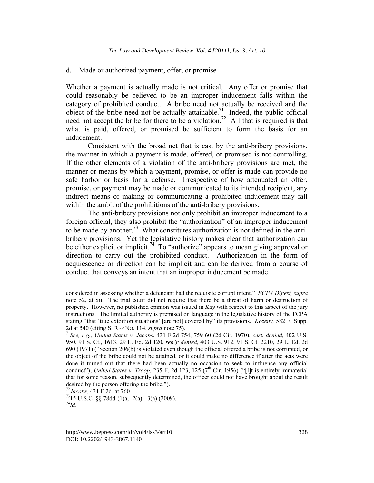#### d. Made or authorized payment, offer, or promise

Whether a payment is actually made is not critical. Any offer or promise that could reasonably be believed to be an improper inducement falls within the category of prohibited conduct. A bribe need not actually be received and the object of the bribe need not be actually attainable.<sup>71</sup> Indeed, the public official need not accept the bribe for there to be a violation.<sup>72</sup> All that is required is that what is paid, offered, or promised be sufficient to form the basis for an inducement.

 Consistent with the broad net that is cast by the anti-bribery provisions, the manner in which a payment is made, offered, or promised is not controlling. If the other elements of a violation of the anti-bribery provisions are met, the manner or means by which a payment, promise, or offer is made can provide no safe harbor or basis for a defense. Irrespective of how attenuated an offer, promise, or payment may be made or communicated to its intended recipient, any indirect means of making or communicating a prohibited inducement may fall within the ambit of the prohibitions of the anti-bribery provisions.

 The anti-bribery provisions not only prohibit an improper inducement to a foreign official, they also prohibit the "authorization" of an improper inducement to be made by another.<sup>73</sup> What constitutes authorization is not defined in the antibribery provisions. Yet the legislative history makes clear that authorization can be either explicit or implicit.<sup>74</sup> To "authorize" appears to mean giving approval or direction to carry out the prohibited conduct. Authorization in the form of acquiescence or direction can be implicit and can be derived from a course of conduct that conveys an intent that an improper inducement be made.

considered in assessing whether a defendant had the requisite corrupt intent." *FCPA Digest, supra*  note 52, at xii. The trial court did not require that there be a threat of harm or destruction of property. However, no published opinion was issued in *Kay* with respect to this aspect of the jury instructions. The limited authority is premised on language in the legislative history of the FCPA stating "that 'true extortion situations' [are not] covered by" its provisions. *Kozeny,* 582 F. Supp. 2d at 540 (citing S. REP NO. 114, *supra* note 75). 71*See, e.g., United States v. Jacobs*, 431 F.2d 754, 759-60 (2d Cir. 1970), *cert. denied,* 402 U.S.

<sup>950, 91</sup> S. Ct., 1613, 29 L. Ed. 2d 120, *reh'g denied,* 403 U.S. 912, 91 S. Ct. 2210, 29 L. Ed. 2d 690 (1971) ("Section 206(b) is violated even though the official offered a bribe is not corrupted, or the object of the bribe could not be attained, or it could make no difference if after the acts were done it turned out that there had been actually no occasion to seek to influence any official conduct"); *United States v. Troop*, 235 F. 2d 123, 125 ( $7<sup>th</sup>$  Cir. 1956) ("[I]t is entirely immaterial that for some reason, subsequently determined, the officer could not have brought about the result desired by the person offering the bribe.").<br> $^{72}Jacobs. 431$  F.2d. at 760.

<sup>&</sup>lt;sup>73</sup>15 U.S.C. §§ 78dd-(1)a, -2(a), -3(a) (2009).

 $^{74}$ *Id.*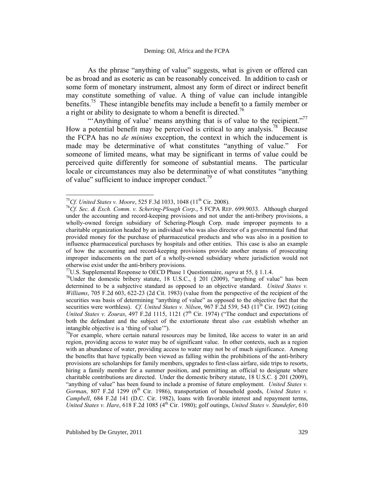As the phrase "anything of value" suggests, what is given or offered can be as broad and as esoteric as can be reasonably conceived. In addition to cash or some form of monetary instrument, almost any form of direct or indirect benefit may constitute something of value. A thing of value can include intangible benefits.<sup>75</sup> These intangible benefits may include a benefit to a family member or a right or ability to designate to whom a benefit is directed.<sup>76</sup>

"'Anything of value' means anything that is of value to the recipient."<sup>77</sup> How a potential benefit may be perceived is critical to any analysis.<sup>78</sup> Because the FCPA has no *de minims* exception, the context in which the inducement is made may be determinative of what constitutes "anything of value." For someone of limited means, what may be significant in terms of value could be perceived quite differently for someone of substantial means. The particular locale or circumstances may also be determinative of what constitutes "anything of value" sufficient to induce improper conduct.<sup>79</sup>

<sup>&</sup>lt;sup>75</sup>Cf. United States v. Moore, 525 F.3d 1033, 1048 (11<sup>th</sup> Cir. 2008).

<sup>&</sup>lt;sup>76</sup>Cf. Sec. & Exch. Comm. v. Schering-Plough Corp., 5 FCPA REP. 699.9033. Although charged under the accounting and record-keeping provisions and not under the anti-bribery provisions, a wholly-owned foreign subsidiary of Schering-Plough Corp. made improper payments to a charitable organization headed by an individual who was also director of a governmental fund that provided money for the purchase of pharmaceutical products and who was also in a position to influence pharmaceutical purchases by hospitals and other entities. This case is also an example of how the accounting and record-keeping provisions provide another means of prosecuting improper inducements on the part of a wholly-owned subsidiary where jurisdiction would not otherwise exist under the anti-bribery provisions.

<sup>&</sup>lt;sup>77</sup>U.S. Supplemental Response to OECD Phase 1 Questionnaire, *supra* at 55, § 1.1.4. <sup>78</sup>Under the domestic bribery statute, 18 U.S.C., § 201 (2009), "anything of value" has been determined to be a subjective standard as opposed to an objective standard. *United States v. Williams*, 705 F.2d 603, 622-23 (2d Cit. 1983) (value from the perspective of the recipient of the securities was basis of determining "anything of value" as opposed to the objective fact that the securities were worthless). *Cf. United States v. Nilsen*, 967 F.2d 539, 543 (11<sup>th</sup> Cir. 1992) (citing *United States v. Zouras*, 497 F.2d 1115, 1121 (7<sup>th</sup> Cir. 1974) ("The conduct and expectations of both the defendant and the subject of the extortionate threat also *can* establish whether an intangible objective is a 'thing of value'").

 $^{79}$ For example, where certain natural resources may be limited, like access to water in an arid region, providing access to water may be of significant value. In other contexts, such as a region with an abundance of water, providing access to water may not be of much significance. Among the benefits that have typically been viewed as falling within the prohibitions of the anti-bribery provisions are scholarships for family members, upgrades to first-class airfare, side trips to resorts, hiring a family member for a summer position, and permitting an official to designate where charitable contributions are directed. Under the domestic bribery statute, 18 U.S.C. § 201 (2009), "anything of value" has been found to include a promise of future employment. *United States v.*  Gorman, 807 F.2d 1299 (6<sup>th</sup> Cir. 1986), transportation of household goods, *United States v. Campbell*, 684 F.2d 141 (D.C. Cir. 1982), loans with favorable interest and repayment terms, *United States v. Hare*, 618 F.2d 1085 (4<sup>th</sup> Cir. 1980); golf outings, *United States v. Standefer*, 610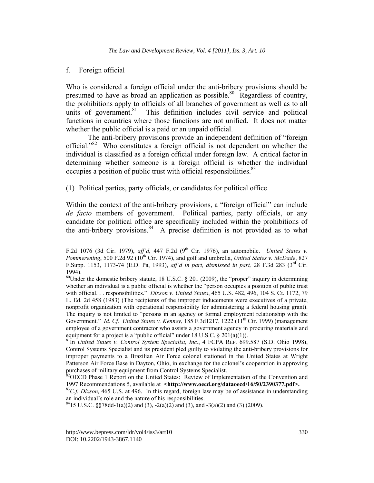## f. Foreign official

 $\overline{a}$ 

Who is considered a foreign official under the anti-bribery provisions should be presumed to have as broad an application as possible.<sup>80</sup> Regardless of country, the prohibitions apply to officials of all branches of government as well as to all units of government.<sup>81</sup> This definition includes civil service and political functions in countries where those functions are not unified. It does not matter whether the public official is a paid or an unpaid official.

 The anti-bribery provisions provide an independent definition of "foreign official."82 Who constitutes a foreign official is not dependent on whether the individual is classified as a foreign official under foreign law. A critical factor in determining whether someone is a foreign official is whether the individual occupies a position of public trust with official responsibilities.<sup>83</sup>

# (1) Political parties, party officials, or candidates for political office

Within the context of the anti-bribery provisions, a "foreign official" can include *de facto* members of government. Political parties, party officials, or any candidate for political office are specifically included within the prohibitions of the anti-bribery provisions.<sup>84</sup> A precise definition is not provided as to what

F.2d 1076 (3d Cir. 1979), *aff'd*, 447 F.2d (9<sup>th</sup> Cir. 1976), an automobile. *United States v. Pommerening*, 500 F.2d 92 (10<sup>th</sup> Cir. 1974), and golf and umbrella, *United States v. McDade*, 827 F.Supp. 1153, 1173-74 (E.D. Pa, 1993), *aff'd in part, dismissed in part,* 28 F.3d 283 (3rd Cir. 1994).

<sup>&</sup>lt;sup>80</sup>Under the domestic bribery statute, 18 U.S.C.  $\S$  201 (2009), the "proper" inquiry in determining whether an individual is a public official is whether the "person occupies a position of public trust with official. . . responsibilities." *Dixson v. United States*, 465 U.S. 482, 496, 104 S. Ct. 1172, 79 L. Ed. 2d 458 (1983) (The recipients of the improper inducements were executives of a private, nonprofit organization with operational responsibility for administering a federal housing grant). The inquiry is not limited to "persons in an agency or formal employment relationship with the Government." *Id. Cf. United States v. Kenney*, 185 F.3d1217, 1222 (11<sup>th</sup> Cir. 1999) (management employee of a government contractor who assists a government agency in procuring materials and equipment for a project is a "public official" under 18 U.S.C. § 201(a)(1)).

<sup>81</sup>In *United States v. Control System Specialist, Inc*., 4 FCPA REP. 699.587 (S.D. Ohio 1998), Control Systems Specialist and its president pled guilty to violating the anti-bribery provisions for improper payments to a Brazilian Air Force colonel stationed in the United States at Wright Patterson Air Force Base in Dayton, Ohio, in exchange for the colonel's cooperation in approving purchases of military equipment from Control Systems Specialist.<br><sup>82</sup>OECD Phase 1 Report on the United States: Review of Implementation of the Convention and

<sup>1997</sup> Recommendations 5, available at **<http://www.oecd.org/dataoecd/16/50/2390377.pdf>.** <sup>83</sup>*C.f. Dixson*, 465 U.S. at 496. In this regard, foreign law may be of assistance in understanding

an individual's role and the nature of his responsibilities.

 $^{84}$ 15 U.S.C. §§78dd-1(a)(2) and (3), -2(a)(2) and (3), and -3(a)(2) and (3) (2009).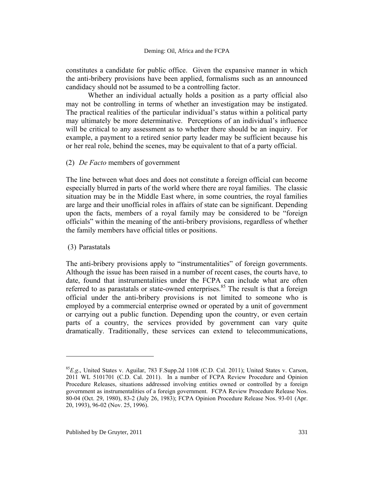constitutes a candidate for public office. Given the expansive manner in which the anti-bribery provisions have been applied, formalisms such as an announced candidacy should not be assumed to be a controlling factor.

 Whether an individual actually holds a position as a party official also may not be controlling in terms of whether an investigation may be instigated. The practical realities of the particular individual's status within a political party may ultimately be more determinative. Perceptions of an individual's influence will be critical to any assessment as to whether there should be an inquiry. For example, a payment to a retired senior party leader may be sufficient because his or her real role, behind the scenes, may be equivalent to that of a party official.

# (2) *De Facto* members of government

The line between what does and does not constitute a foreign official can become especially blurred in parts of the world where there are royal families. The classic situation may be in the Middle East where, in some countries, the royal families are large and their unofficial roles in affairs of state can be significant. Depending upon the facts, members of a royal family may be considered to be "foreign officials" within the meaning of the anti-bribery provisions, regardless of whether the family members have official titles or positions.

# (3) Parastatals

 $\overline{a}$ 

The anti-bribery provisions apply to "instrumentalities" of foreign governments. Although the issue has been raised in a number of recent cases, the courts have, to date, found that instrumentalities under the FCPA can include what are often referred to as parastatals or state-owned enterprises.<sup>85</sup> The result is that a foreign official under the anti-bribery provisions is not limited to someone who is employed by a commercial enterprise owned or operated by a unit of government or carrying out a public function. Depending upon the country, or even certain parts of a country, the services provided by government can vary quite dramatically. Traditionally, these services can extend to telecommunications,

<sup>85</sup>*E.g*., United States v. Aguilar, 783 F.Supp.2d 1108 (C.D. Cal. 2011); United States v. Carson, 2011 WL 5101701 (C.D. Cal. 2011). In a number of FCPA Review Procedure and Opinion Procedure Releases, situations addressed involving entities owned or controlled by a foreign government as instrumentalities of a foreign government. FCPA Review Procedure Release Nos. 80-04 (Oct. 29, 1980), 83-2 (July 26, 1983); FCPA Opinion Procedure Release Nos. 93-01 (Apr. 20, 1993), 96-02 (Nov. 25, 1996).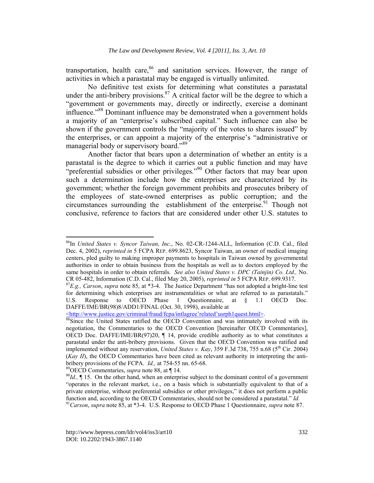transportation, health care,<sup>86</sup> and sanitation services. However, the range of activities in which a parastatal may be engaged is virtually unlimited.

 No definitive test exists for determining what constitutes a parastatal under the anti-bribery provisions.<sup>87</sup> A critical factor will be the degree to which a "government or governments may, directly or indirectly, exercise a dominant influence."<sup>88</sup> Dominant influence may be demonstrated when a government holds a majority of an "enterprise's subscribed capital." Such influence can also be shown if the government controls the "majority of the votes to shares issued" by the enterprises, or can appoint a majority of the enterprise's "administrative or managerial body or supervisory board."<sup>89</sup>

 Another factor that bears upon a determination of whether an entity is a parastatal is the degree to which it carries out a public function and may have "preferential subsidies or other privileges."<sup>90</sup> Other factors that may bear upon such a determination include how the enterprises are characterized by its government; whether the foreign government prohibits and prosecutes bribery of the employees of state-owned enterprises as public corruption; and the circumstances surrounding the establishment of the enterprise.<sup>91</sup> Though not conclusive, reference to factors that are considered under other U.S. statutes to

<sup>86</sup>In *United States v. Syncor Taiwan, Inc*., No. 02-CR-1244-ALL, Information (C.D. Cal., filed Dec. 4, 2002), *reprinted in* 5 FCPA REP. 699.8623, Syncor Taiwan, an owner of medical imaging centers, pled guilty to making improper payments to hospitals in Taiwan owned by governmental authorities in order to obtain business from the hospitals as well as to doctors employed by the same hospitals in order to obtain referrals. *See also United States v. DPC (Tainjin) Co. Ltd.,* No. CR 05-482, Information (C.D. Cal., filed May 20, 2005), *reprinted in* 5 FCPA REP. 699.9317. 87*E.g., Carson*, *supra* note 85, at \*3-4. The Justice Department "has not adopted a bright-line test

for determining which enterprises are instrumentalities or what are referred to as parastatals." U.S. Response to OECD Phase 1 Questionnaire, at § 1.1 OECD Doc. DAFFE/IME/BR(98)8/ADD1/FINAL (Oct. 30, 1998), available at

Shttp://www.justice.gov/criminal/fraud/fcpa/intlagree'related'usrph1quest.html>.<br><sup>88</sup>Since the United States ratified the OECD Convention and was intimately involved with its negotiation, the Commentaries to the OECD Convention [hereinafter OECD Commentaries], OECD Doc. DAFFE/IME/BR(97)20, ¶ 14, provide credible authority as to what constitutes a parastatal under the anti-bribery provisions. Given that the OECD Convention was ratified and implemented without any reservation, *United States v. Kay*, 359 F.3d 738, 755 n.68 (5<sup>th</sup> Cir. 2004) (*Kay II*), the OECD Commentaries have been cited as relevant authority in interpreting the antibribery provisions of the FCPA. *Id.*, at 754-55 nn. 65-68.<br><sup>89</sup>OECD Commentaries, *supra* note 88, at ¶ 14.<br><sup>90</sup>*Id.*, ¶ 15. On the other hand, when an enterprise subject to the dominant control of a government

<sup>&</sup>quot;operates in the relevant market, i.e., on a basis which is substantially equivalent to that of a private enterprise, without preferential subsidies or other privileges," it does not perform a public function and, according to the OECD Commentaries, should not be considered a parastatal." *Id.* <sup>91</sup>*Carson*, *supra* note 85, at \*3-4. U.S. Response to OECD Phase 1 Questionnaire, *supra* note 87.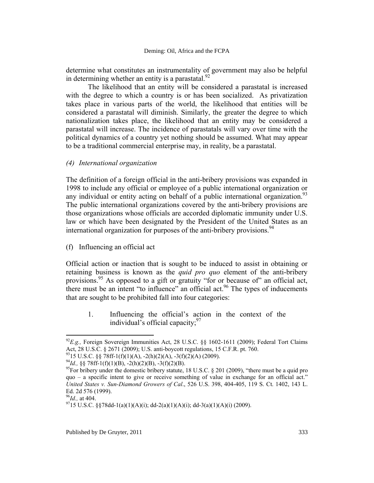determine what constitutes an instrumentality of government may also be helpful in determining whether an entity is a parastatal. $92$ 

 The likelihood that an entity will be considered a parastatal is increased with the degree to which a country is or has been socialized. As privatization takes place in various parts of the world, the likelihood that entities will be considered a parastatal will diminish. Similarly, the greater the degree to which nationalization takes place, the likelihood that an entity may be considered a parastatal will increase. The incidence of parastatals will vary over time with the political dynamics of a country yet nothing should be assumed. What may appear to be a traditional commercial enterprise may, in reality, be a parastatal.

*(4) International organization* 

The definition of a foreign official in the anti-bribery provisions was expanded in 1998 to include any official or employee of a public international organization or any individual or entity acting on behalf of a public international organization.<sup>93</sup> The public international organizations covered by the anti-bribery provisions are those organizations whose officials are accorded diplomatic immunity under U.S. law or which have been designated by the President of the United States as an international organization for purposes of the anti-bribery provisions.  $94$ 

(f) Influencing an official act

Official action or inaction that is sought to be induced to assist in obtaining or retaining business is known as the *quid pro quo* element of the anti-bribery provisions.<sup>95</sup> As opposed to a gift or gratuity "for or because of" an official act, there must be an intent "to influence" an official act. $96$  The types of inducements that are sought to be prohibited fall into four categories:

1. Influencing the official's action in the context of the individual's official capacity;  $97$ 

<sup>92</sup>*E.g.,* Foreign Sovereign Immunities Act, 28 U.S.C. §§ 1602-1611 (2009); Federal Tort Claims Act, 28 U.S.C. § 2671 (2009); U.S. anti-boycott regulations, 15 C.F.R. pt. 760.

<sup>&</sup>lt;sup>93</sup>15 U.S.C. §§ 78ff-1(f)(1)(A), -2(h)(2)(A), -3(f)(2)(A) (2009).<br><sup>94</sup>*Id.*, §§ 78ff-1(f)(1)(B), -2(h)(2)(B), -3(f)(2)(B).

<sup>&</sup>lt;sup>95</sup>For bribery under the domestic bribery statute, 18 U.S.C. § 201 (2009), "there must be a quid pro quo – a specific intent to give or receive something of value in exchange for an official act." *United States v. Sun-Diamond Growers of Cal*., 526 U.S. 398, 404-405, 119 S. Ct. 1402, 143 L. Ed. 2d 576 (1999).<br><sup>96</sup>Id.. at 404.

<sup>&</sup>lt;sup>97</sup>15 U.S.C. §§78dd-1(a)(1)(A)(i); dd-2(a)(1)(A)(i); dd-3(a)(1)(A)(i) (2009).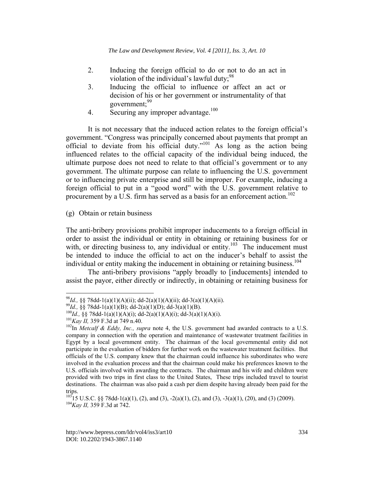- 2. Inducing the foreign official to do or not to do an act in violation of the individual's lawful duty;  $98$
- 3. Inducing the official to influence or affect an act or decision of his or her government or instrumentality of that government;<sup>99</sup>
- 4. Securing any improper advantage.<sup>100</sup>

 It is not necessary that the induced action relates to the foreign official's government. "Congress was principally concerned about payments that prompt an official to deviate from his official duty."<sup>101</sup> As long as the action being influenced relates to the official capacity of the individual being induced, the ultimate purpose does not need to relate to that official's government or to any government. The ultimate purpose can relate to influencing the U.S. government or to influencing private enterprise and still be improper. For example, inducing a foreign official to put in a "good word" with the U.S. government relative to procurement by a U.S. firm has served as a basis for an enforcement action.<sup>102</sup>

(g) Obtain or retain business

The anti-bribery provisions prohibit improper inducements to a foreign official in order to assist the individual or entity in obtaining or retaining business for or with, or directing business to, any individual or entity.<sup>103</sup> The inducement must be intended to induce the official to act on the inducer's behalf to assist the individual or entity making the inducement in obtaining or retaining business.<sup>104</sup>

 The anti-bribery provisions "apply broadly to [inducements] intended to assist the payor, either directly or indirectly, in obtaining or retaining business for

1

<sup>&</sup>lt;sup>98</sup>*Id.*, §§ 78dd-1(a)(1)(A)(ii); dd-2(a)(1)(A)(ii); dd-3(a)(1)(A)(ii).<br><sup>99</sup>*Id.*, §§ 78dd-1(a)(1)(B); dd-2(a)(1)(D); dd-3(a)(1)(B).<br><sup>100</sup>*Id.*, §§ 78dd-1(a)(1)(A)(i); dd-2(a)(1)(A)(i); dd-3(a)(1)(A)(i).<br><sup>101</sup>*Kay II*, 3 company in connection with the operation and maintenance of wastewater treatment facilities in Egypt by a local government entity. The chairman of the local governmental entity did not participate in the evaluation of bidders for further work on the wastewater treatment facilities. But officials of the U.S. company knew that the chairman could influence his subordinates who were involved in the evaluation process and that the chairman could make his preferences known to the U.S. officials involved with awarding the contracts. The chairman and his wife and children were provided with two trips in first class to the United States, These trips included travel to tourist destinations. The chairman was also paid a cash per diem despite having already been paid for the trips.

<sup>10315</sup> U.S.C. §§ 78dd-1(a)(1), (2), and (3), -2(a)(1), (2), and (3), -3(a)(1), (20), and (3) (2009). 104*Kay II,* 359 F.3d at 742.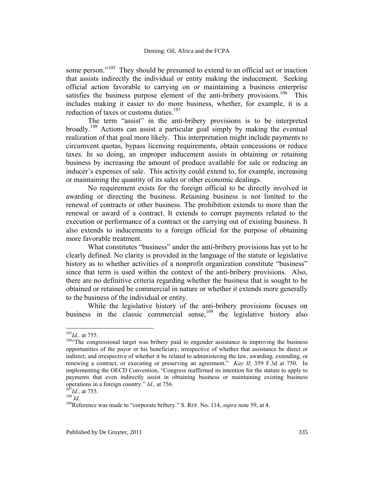some person."<sup>105</sup> They should be presumed to extend to an official act or inaction that assists indirectly the individual or entity making the inducement. Seeking official action favorable to carrying on or maintaining a business enterprise satisfies the business purpose element of the anti-bribery provisions.<sup>106</sup> This includes making it easier to do more business, whether, for example, it is a reduction of taxes or customs duties.<sup>107</sup>

 The term "assist" in the anti-bribery provisions is to be interpreted broadly.<sup>108</sup> Actions can assist a particular goal simply by making the eventual realization of that goal more likely. This interpretation might include payments to circumvent quotas, bypass licensing requirements, obtain concessions or reduce taxes. In so doing, an improper inducement assists in obtaining or retaining business by increasing the amount of produce available for sale or reducing an inducer's expenses of sale. This activity could extend to, for example, increasing or maintaining the quantity of its sales or other economic dealings.

 No requirement exists for the foreign official to be directly involved in awarding or directing the business. Retaining business is not limited to the renewal of contracts or other business. The prohibition extends to more than the renewal or award of a contract. It extends to corrupt payments related to the execution or performance of a contract or the carrying out of existing business. It also extends to inducements to a foreign official for the purpose of obtaining more favorable treatment.

What constitutes "business" under the anti-bribery provisions has yet to be clearly defined. No clarity is provided in the language of the statute or legislative history as to whether activities of a nonprofit organization constitute "business" since that term is used within the context of the anti-bribery provisions. Also, there are no definitive criteria regarding whether the business that is sought to be obtained or retained be commercial in nature or whether it extends more generally to the business of the individual or entity.

 While the legislative history of the anti-bribery provisions focuses on business in the classic commercial sense,<sup>109</sup> the legislative history also

 $105$ *Id.*, at 755.

<sup>&</sup>lt;sup>106</sup><sup>*IO6</sup>* The congressional target was bribery paid to engender assistance in improving the business</sup> opportunities of the payor or his beneficiary, irrespective of whether that assistance be direct or indirect, and irrespective of whether it be related to administering the law, awarding, extending, or renewing a contract, or executing or preserving an agreement." *Kay II,* 359 F.3d at 750. In implementing the OECD Convention, "Congress reaffirmed its intention for the statute to apply to payments that even indirectly assist in obtaining business or maintaining existing business operations in a foreign country." *Id.*, at 756.<br><sup>107</sup>*Id.*, at 755.<br><sup>108</sup>*Id.* 109Reference was made to "corporate bribery." S. REP. No. 114, *supra* note 59, at 4.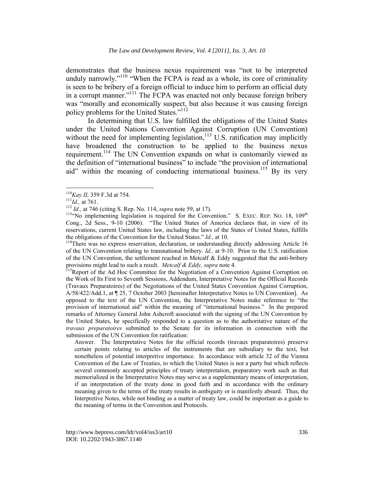demonstrates that the business nexus requirement was "not to be interpreted unduly narrowly."<sup>110</sup> "When the FCPA is read as a whole, its core of criminality is seen to be bribery of a foreign official to induce him to perform an official duty in a corrupt manner."111 The FCPA was enacted not only because foreign bribery was "morally and economically suspect, but also because it was causing foreign policy problems for the United States."<sup>112</sup>

 In determining that U.S. law fulfilled the obligations of the United States under the United Nations Convention Against Corruption (UN Convention) without the need for implementing legislation, $113$  U.S. ratification may implicitly have broadened the construction to be applied to the business nexus requirement.114 The UN Convention expands on what is customarily viewed as the definition of "international business" to include "the provision of international aid" within the meaning of conducting international business.<sup>115</sup> By its very

of the UN Convention relating to transnational bribery. *Id.,* at 9-10. Prior to the U.S. ratification of the UN Convention, the settlement reached in Metcalf  $\&$  Eddy suggested that the anti-bribery provisions might lead to such a result. *Metcalf*  $\&$  *Eddy, supra* note 4.

<sup>115</sup>Report of the Ad Hoc Committee for the Negotiation of a Convention Against Corruption on the Work of Its First to Seventh Sessions, Addendum, Interpretative Notes for the Official Records (Travaux Preparatoires) of the Negotiations of the United States Convention Against Corruption, A/58/422/Add.1, at ¶ 25, 7 October 2003 [hereinafter Interpretative Notes to UN Convention]. As opposed to the text of the UN Convention, the Interpretative Notes make reference to "the provision of international aid" within the meaning of "international business." In the prepared remarks of Attorney General John Ashcroft associated with the signing of the UN Convention by the United States, he specifically responded to a question as to the authoritative nature of the *travaux preparatoires* submitted to the Senate for its information in connection with the submission of the UN Convention for ratification:

Answer. The Interpretative Notes for the official records (travaux preparatoires) preserve certain points relating to articles of the instruments that are subsidiary to the text, but nonetheless of potential interpretive importance. In accordance with article 32 of the Vienna Convention of the Law of Treaties, to which the United States is not a party but which reflects several commonly accepted principles of treaty interpretation, preparatory work such as that memorialized in the Interpretative Notes may serve as a supplementary means of interpretation, if an interpretation of the treaty done in good faith and in accordance with the ordinary meaning given to the terms of the treaty results in ambiguity or is manifestly absurd. Thus, the Interpretive Notes, while not binding as a matter of treaty law, could be important as a guide to the meaning of terms in the Convention and Protocols.

 $110$ Kay II, 359 F.3d at 754.

<sup>&</sup>lt;sup>111</sup>*Id.*, at 761.<br><sup>112</sup>*Id.*, at 746 (citing S. Rep. No. 114, *supra* note 59, at 17).<br><sup>112</sup>*Id.*, at 746 (citing S. Rep. No. 114, *supra* note 59, at 17).<br><sup>113</sup><sup>*N*</sup>O implementing legislation is required for the Conven Cong., 2d Sess., 9-10 (2006). "The United States of America declares that, in view of its reservations, current United States law, including the laws of the States of United States, fulfills the obligations of the Convention for the United States." *Id.*, at 10.<br><sup>114</sup>There was no express reservation, declaration, or understanding directly addressing Article 16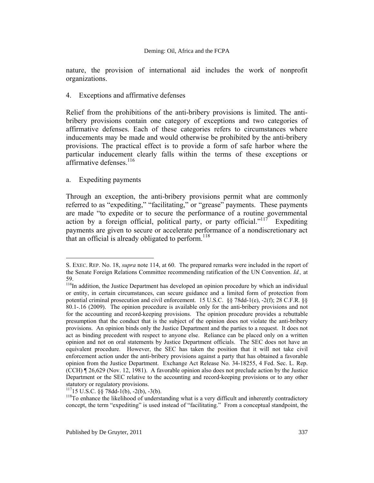#### Deming: Oil, Africa and the FCPA

nature, the provision of international aid includes the work of nonprofit organizations.

## 4. Exceptions and affirmative defenses

Relief from the prohibitions of the anti-bribery provisions is limited. The antibribery provisions contain one category of exceptions and two categories of affirmative defenses. Each of these categories refers to circumstances where inducements may be made and would otherwise be prohibited by the anti-bribery provisions. The practical effect is to provide a form of safe harbor where the particular inducement clearly falls within the terms of these exceptions or affirmative defenses.<sup>116</sup>

## a. Expediting payments

 $\overline{a}$ 

Through an exception, the anti-bribery provisions permit what are commonly referred to as "expediting," "facilitating," or "grease" payments. These payments are made "to expedite or to secure the performance of a routine governmental action by a foreign official, political party, or party official."<sup>117</sup> Expediting payments are given to secure or accelerate performance of a nondiscretionary act that an official is already obligated to perform. $118$ 

S. EXEC. REP. No. 18, *supra* note 114, at 60. The prepared remarks were included in the report of the Senate Foreign Relations Committee recommending ratification of the UN Convention. *Id.,* at 59.

<sup>&</sup>lt;sup>116</sup>In addition, the Justice Department has developed an opinion procedure by which an individual or entity, in certain circumstances, can secure guidance and a limited form of protection from potential criminal prosecution and civil enforcement. 15 U.S.C. §§ 78dd-1(e), -2(f); 28 C.F.R. §§ 80.1-.16 (2009). The opinion procedure is available only for the anti-bribery provisions and not for the accounting and record-keeping provisions. The opinion procedure provides a rebuttable presumption that the conduct that is the subject of the opinion does not violate the anti-bribery provisions. An opinion binds only the Justice Department and the parties to a request. It does not act as binding precedent with respect to anyone else. Reliance can be placed only on a written opinion and not on oral statements by Justice Department officials. The SEC does not have an equivalent procedure. However, the SEC has taken the position that it will not take civil enforcement action under the anti-bribery provisions against a party that has obtained a favorable opinion from the Justice Department. Exchange Act Release No. 34-18255, 4 Fed. Sec. L. Rep. (CCH) ¶ 26,629 (Nov. 12, 1981). A favorable opinion also does not preclude action by the Justice Department or the SEC relative to the accounting and record-keeping provisions or to any other statutory or regulatory provisions.<br><sup>117</sup>15 U.S.C. §§ 78dd-1(b), -2(b), -3(b).

<sup>&</sup>lt;sup>118</sup>To enhance the likelihood of understanding what is a very difficult and inherently contradictory concept, the term "expediting" is used instead of "facilitating." From a conceptual standpoint, the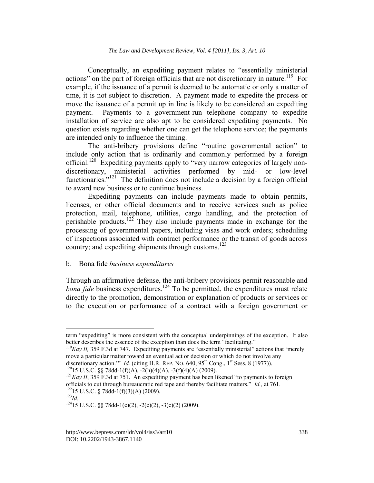Conceptually, an expediting payment relates to "essentially ministerial actions" on the part of foreign officials that are not discretionary in nature.<sup>119</sup> For example, if the issuance of a permit is deemed to be automatic or only a matter of time, it is not subject to discretion. A payment made to expedite the process or move the issuance of a permit up in line is likely to be considered an expediting payment. Payments to a government-run telephone company to expedite installation of service are also apt to be considered expediting payments. No question exists regarding whether one can get the telephone service; the payments are intended only to influence the timing.

 The anti-bribery provisions define "routine governmental action" to include only action that is ordinarily and commonly performed by a foreign official.<sup>120</sup> Expediting payments apply to "very narrow categories of largely nondiscretionary, ministerial activities performed by mid- or low-level functionaries. $121$  The definition does not include a decision by a foreign official to award new business or to continue business.

 Expediting payments can include payments made to obtain permits, licenses, or other official documents and to receive services such as police protection, mail, telephone, utilities, cargo handling, and the protection of perishable products.122 They also include payments made in exchange for the processing of governmental papers, including visas and work orders; scheduling of inspections associated with contract performance or the transit of goods across country; and expediting shipments through customs.<sup>123</sup>

#### b*.* Bona fide *business expenditures*

Through an affirmative defense, the anti-bribery provisions permit reasonable and *bona fide* business expenditures.<sup>124</sup> To be permitted, the expenditures must relate directly to the promotion, demonstration or explanation of products or services or to the execution or performance of a contract with a foreign government or

<sup>119</sup>*Kay II, 359 F.3d at 747. Expediting payments are "essentially ministerial" actions that 'merely* move a particular matter toward an eventual act or decision or which do not involve any discretionary action." *Id.* (citing H.R. REP. NO. 640, 95<sup>th</sup> Cong., 1<sup>st</sup> Sess. 8 (1977)).

term "expediting" is more consistent with the conceptual underpinnings of the exception. It also better describes the essence of the exception than does the term "facilitating."

<sup>&</sup>lt;sup>120</sup>15 U.S.C. §§ 78dd-1(f)(A), -2(h)(4)(A), -3(f)(4)(A) (2009).<br><sup>121</sup>*Kay II*, 359 F.3d at 751. An expediting payment has been likened "to payments to foreign officials to cut through bureaucratic red tape and thereby facilitate matters." *Id.*, at 761. <sup>122</sup>15 U.S.C. § 78dd-1(f)(3)(A) (2009). <sup>124</sup>15 U.S.C. §§ 78dd-1(c)(2), -2(c)(2), -3(c)(2) (2009).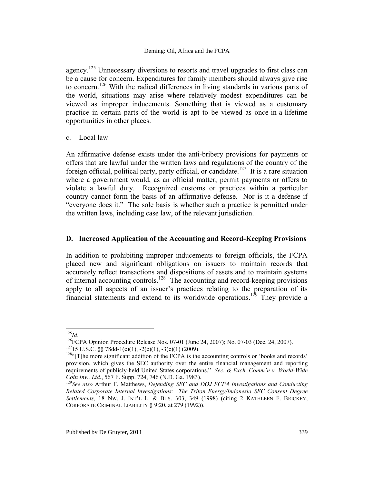agency.<sup>125</sup> Unnecessary diversions to resorts and travel upgrades to first class can be a cause for concern. Expenditures for family members should always give rise to concern.<sup>126</sup> With the radical differences in living standards in various parts of the world, situations may arise where relatively modest expenditures can be viewed as improper inducements. Something that is viewed as a customary practice in certain parts of the world is apt to be viewed as once-in-a-lifetime opportunities in other places.

c. Local law

An affirmative defense exists under the anti-bribery provisions for payments or offers that are lawful under the written laws and regulations of the country of the foreign official, political party, party official, or candidate.<sup>127</sup> It is a rare situation where a government would, as an official matter, permit payments or offers to violate a lawful duty. Recognized customs or practices within a particular country cannot form the basis of an affirmative defense. Nor is it a defense if "everyone does it." The sole basis is whether such a practice is permitted under the written laws, including case law, of the relevant jurisdiction.

## **D. Increased Application of the Accounting and Record-Keeping Provisions**

In addition to prohibiting improper inducements to foreign officials, the FCPA placed new and significant obligations on issuers to maintain records that accurately reflect transactions and dispositions of assets and to maintain systems of internal accounting controls.128 The accounting and record-keeping provisions apply to all aspects of an issuer's practices relating to the preparation of its financial statements and extend to its worldwide operations.<sup>129</sup> They provide a

 $^{125}$ *Id* 

<sup>&</sup>lt;sup>126</sup>FCPA Opinion Procedure Release Nos. 07-01 (June 24, 2007); No. 07-03 (Dec. 24, 2007).<br><sup>127</sup>15 U.S.C. §§ 78dd-1(c)(1), -2(c)(1), -3(c)(1) (2009).<br><sup>128</sup><sup>128</sup>[T]he more significant addition of the FCPA is the accounting

provision, which gives the SEC authority over the entire financial management and reporting requirements of publicly-held United States corporations." *Sec. & Exch. Comm'n v. World-Wide* 

*Coin Inv., Ltd*., 567 F. Supp. 724, 746 (N.D. Ga. 1983). 129*See also* Arthur F. Matthews, *Defending SEC and DOJ FCPA Investigations and Conducting Related Corporate Internal Investigations: The Triton Energy/Indonesia SEC Consent Degree Settlements,* 18 NW. J. INT'L L. & BUS. 303, 349 (1998) (citing 2 KATHLEEN F. BRICKEY, CORPORATE CRIMINAL LIABILITY § 9:20, at 279 (1992)).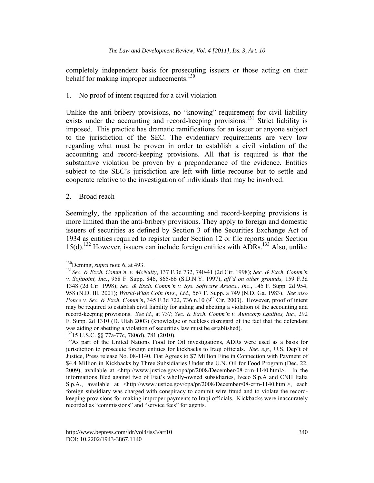completely independent basis for prosecuting issuers or those acting on their behalf for making improper inducements.<sup>130</sup>

#### 1. No proof of intent required for a civil violation

Unlike the anti-bribery provisions, no "knowing" requirement for civil liability exists under the accounting and record-keeping provisions.<sup>131</sup> Strict liability is imposed. This practice has dramatic ramifications for an issuer or anyone subject to the jurisdiction of the SEC. The evidentiary requirements are very low regarding what must be proven in order to establish a civil violation of the accounting and record-keeping provisions. All that is required is that the substantive violation be proven by a preponderance of the evidence. Entities subject to the SEC's jurisdiction are left with little recourse but to settle and cooperate relative to the investigation of individuals that may be involved.

2. Broad reach

 $\overline{a}$ 

Seemingly, the application of the accounting and record-keeping provisions is more limited than the anti-bribery provisions. They apply to foreign and domestic issuers of securities as defined by Section 3 of the Securities Exchange Act of 1934 as entities required to register under Section 12 or file reports under Section  $15(d)$ .<sup>132</sup> However, issuers can include foreign entities with ADRs.<sup>133</sup> Also, unlike

<sup>&</sup>lt;sup>130</sup>Deming, *supra* note 6, at 493.<br><sup>131</sup>Sec. & Exch. Comm'n. v. McNulty, 137 F.3d 732, 740-41 (2d Cir. 1998); *Sec. & Exch. Comm*'n *v. Softpoint, Inc.*, 958 F. Supp. 846, 865-66 (S.D.N.Y. 1997), *aff'd on other grounds,* 159 F.3d 1348 (2d Cir. 1998); *Sec. & Exch. Comm'n v. Sys. Software Assocs., Inc*., 145 F. Supp. 2d 954, 958 (N.D. Ill. 2001); *World-Wide Coin Invs., Ltd.,* 567 F. Supp. a 749 (N.D. Ga. 1983). *See also Ponce v. Sec. & Exch. Comm'n,* 345 F.3d 722, 736 n.10 (9<sup>th</sup> Cir. 2003). However, proof of intent may be required to establish civil liability for aiding and abetting a violation of the accounting and record-keeping provisions. *See id.,* at 737; *Sec. & Exch. Comm'n v. Autocorp Equities, Inc.*, 292 F. Supp. 2d 1310 (D. Utah 2003) (knowledge or reckless disregard of the fact that the defendant was aiding or abetting a violation of securities law must be established).<br><sup>132</sup>15 U.S.C. §§ 77a-77c, 780(d), 781 (2010).<br><sup>133</sup>As part of the United Nations Food for Oil investigations, ADRs were used as a basis for

jurisdiction to prosecute foreign entities for kickbacks to Iraqi officials. *See, e.g.,* U.S. Dep't of Justice, Press release No. 08-1140, Fiat Agrees to \$7 Million Fine in Connection with Payment of \$4.4 Million in Kickbacks by Three Subsidiaries Under the U.N. Oil for Food Program (Dec. 22, 2009), available at <http://www.justice.gov/opa/pr/2008/December/08-crm-1140.html>.In the informations filed against two of Fiat's wholly-owned subsidiaries, Iveco S.p.A and CNH Italia S.p.A., available at <http://www.justice.gov/opa/pr/2008/December/08-crm-1140.html>, each foreign subsidiary was charged with conspiracy to commit wire fraud and to violate the recordkeeping provisions for making improper payments to Iraqi officials. Kickbacks were inaccurately recorded as "commissions" and "service fees" for agents.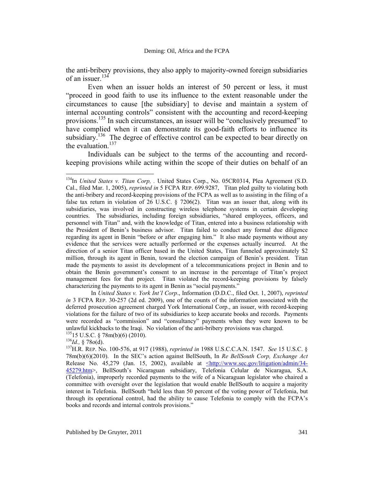the anti-bribery provisions, they also apply to majority-owned foreign subsidiaries of an issuer  $^{134}$ 

 Even when an issuer holds an interest of 50 percent or less, it must "proceed in good faith to use its influence to the extent reasonable under the circumstances to cause [the subsidiary] to devise and maintain a system of internal accounting controls" consistent with the accounting and record-keeping provisions.<sup>135</sup> In such circumstances, an issuer will be "conclusively presumed" to have complied when it can demonstrate its good-faith efforts to influence its subsidiary.<sup>136</sup> The degree of effective control can be expected to bear directly on the evaluation. $137$ 

 Individuals can be subject to the terms of the accounting and recordkeeping provisions while acting within the scope of their duties on behalf of an

 In *United States v. York Int'l Corp*., Information (D.D.C., filed Oct. 1, 2007), *reprinted in* 3 FCPA REP. 30-257 (2d ed. 2009), one of the counts of the information associated with the deferred prosecution agreement charged York International Corp., an issuer, with record-keeping violations for the failure of two of its subsidiaries to keep accurate books and records. Payments were recorded as "commission" and "consultancy" payments when they were known to be unlawful kickbacks to the Iraqi. No violation of the anti-bribery provisions was charged.<br><sup>135</sup>15 U.S.C. § 78m(b)(6) (2010).<br><sup>136</sup>Id., § 78o(d).<br><sup>136</sup>Id., § 78o(d).<br><sup>137</sup>H.R. REP. No. 100-576, at 917 (1988), *reprinted in* 

<sup>&</sup>lt;sup>134</sup>In *United States v. Titan Corp, .* United States Corp., No. 05CR0314, Plea Agreement (S.D. Cal., filed Mar. 1, 2005), *reprinted in* 5 FCPA REP. 699.9287, Titan pled guilty to violating both the anti-bribery and record-keeping provisions of the FCPA as well as to assisting in the filing of a false tax return in violation of 26 U.S.C.  $\S$  7206(2). Titan was an issuer that, along with its subsidiaries, was involved in constructing wireless telephone systems in certain developing countries. The subsidiaries, including foreign subsidiaries, "shared employees, officers, and personnel with Titan" and, with the knowledge of Titan, entered into a business relationship with the President of Benin's business advisor. Titan failed to conduct any formal due diligence regarding its agent in Benin "before or after engaging him." It also made payments without any evidence that the services were actually performed or the expenses actually incurred. At the direction of a senior Titan officer based in the United States, Titan funneled approximately \$2 million, through its agent in Benin, toward the election campaign of Benin's president. Titan made the payments to assist its development of a telecommunications project in Benin and to obtain the Benin government's consent to an increase in the percentage of Titan's project management fees for that project. Titan violated the record-keeping provisions by falsely characterizing the payments to its agent in Benin as "social payments."

<sup>78</sup>m(b)(6)(2010). In the SEC's action against BellSouth, In *Re BellSouth Corp, Exchange Act* Release No. 45,279 (Jan. 15, 2002), available at <http://www.sec.gov/litigation/admin/34- 45279.htm>, BellSouth's Nicaraguan subsidiary, Telefonia Celular de Nicaragua, S.A. (Telefonia), improperly recorded payments to the wife of a Nicaraguan legislator who chaired a committee with oversight over the legislation that would enable BellSouth to acquire a majority interest in Telefonia. BellSouth "held less than 50 percent of the voting power of Telefonia, but through its operational control, had the ability to cause Telefonia to comply with the FCPA's books and records and internal controls provisions."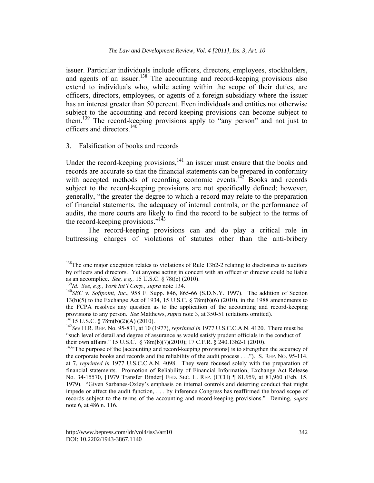issuer. Particular individuals include officers, directors, employees, stockholders, and agents of an issuer.<sup>138</sup> The accounting and record-keeping provisions also extend to individuals who, while acting within the scope of their duties, are officers, directors, employees, or agents of a foreign subsidiary where the issuer has an interest greater than 50 percent. Even individuals and entities not otherwise subject to the accounting and record-keeping provisions can become subject to them.139 The record-keeping provisions apply to "any person" and not just to officers and directors<sup>140</sup>

#### 3. Falsification of books and records

Under the record-keeping provisions, $141$  an issuer must ensure that the books and records are accurate so that the financial statements can be prepared in conformity with accepted methods of recording economic events.<sup>142</sup> Books and records subject to the record-keeping provisions are not specifically defined; however, generally, "the greater the degree to which a record may relate to the preparation of financial statements, the adequacy of internal controls, or the performance of audits, the more courts are likely to find the record to be subject to the terms of the record-keeping provisions."<sup>143</sup>

 The record-keeping provisions can and do play a critical role in buttressing charges of violations of statutes other than the anti-bribery

<sup>&</sup>lt;sup>138</sup>The one major exception relates to violations of Rule 13b2-2 relating to disclosures to auditors by officers and directors. Yet anyone acting in concert with an officer or director could be liable as an accomplice. See, e.g., 15 U.S.C. § 78t(e) (2010).<br><sup>139</sup>Id. See, e.g., *York Int'l Corp.*, *supra* note 134.<br><sup>140</sup>SEC v. Softpoint, Inc., 958 F. Supp. 846, 865-66 (S.D.N.Y. 1997). The addition of Section

<sup>13(</sup>b)(5) to the Exchange Act of 1934, 15 U.S.C. § 78m(b)(6) (2010), in the 1988 amendments to the FCPA resolves any question as to the application of the accounting and record-keeping provisions to any person. See Matthews, *supra* note 3, at 350-51 (citations omitted).

<sup>&</sup>lt;sup>141</sup>15 U.S.C. § 78m(b)(2)(A) (2010).<br><sup>142</sup>*See* H.R. REP. No. 95-831, at 10 (1977), *reprinted in* 1977 U.S.C.C.A.N. 4120. There must be "such level of detail and degree of assurance as would satisfy prudent officials in the conduct of their own affairs." 15 U.S.C. § 78m(b)(7)(2010); 17 C.F.R. § 240.13b2-1 (2010).<br><sup>143</sup>"The purpose of the [accounting and record-keeping provisions] is to strengthen the accuracy of

the corporate books and records and the reliability of the audit process . . ."). S. REP. NO. 95-114, at 7, *reprinted in* 1977 U.S.C.C.A.N. 4098. They were focused solely with the preparation of financial statements. Promotion of Reliability of Financial Information, Exchange Act Release No. 34-15570, [1979 Transfer Binder] FED. SEC. L. REP. (CCH) ¶ 81,959, at 81,960 (Feb. 15, 1979). "Given Sarbanes-Oxley's emphasis on internal controls and deterring conduct that might impede or affect the audit function, . . . by inference Congress has reaffirmed the broad scope of records subject to the terms of the accounting and record-keeping provisions." Deming, *supra* note 6*,* at 486 n. 116.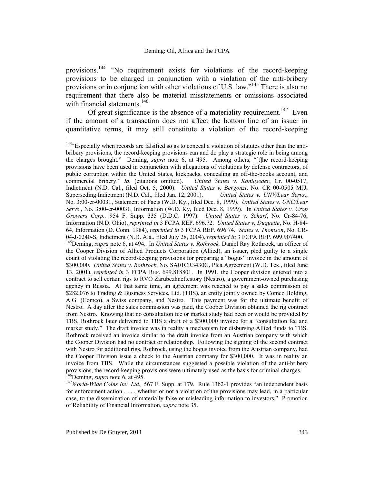provisions.<sup>144</sup> "No requirement exists for violations of the record-keeping provisions to be charged in conjunction with a violation of the anti-bribery provisions or in conjunction with other violations of U.S. law."145 There is also no requirement that there also be material misstatements or omissions associated with financial statements.<sup>146</sup>

Of great significance is the absence of a materiality requirement.<sup>147</sup> Even if the amount of a transaction does not affect the bottom line of an issuer in quantitative terms, it may still constitute a violation of the record-keeping

<sup>&</sup>lt;sup>144</sup>"Especially when records are falsified so as to conceal a violation of statutes other than the antibribery provisions, the record-keeping provisions can and do play a strategic role in being among the charges brought." Deming, *supra* note 6, at 495. Among others, "[t]he record-keeping provisions have been used in conjunction with allegations of violations by defense contractors, of public corruption within the United States, kickbacks, concealing an off-the-books account, and commercial bribery." *Id.* (citations omitted). *United States v. Konigseder*, Cr. 00-0517, Indictment (N.D. Cal., filed Oct. 5, 2000). *United States v. Bergonzi*, No. CR 00-0505 MJJ, Superseding Indictment (N.D. Cal., filed Jan. 12, 2001). *United States v. UNV/Lear Servs*., No. 3:00-cr-00031, Statement of Facts (W.D. Ky., filed Dec. 8, 1999). *United States v. UNC/Lear Servs*., No. 3:00-cr-00031, Information (W.D. Ky, filed Dec. 8, 1999). In *United States v. Crop Growers Corp.,* 954 F. Supp. 335 (D.D.C. 1997). *United States v. Scharf*, No. Cr-84-76, Information (N.D. Ohio), *reprinted in* 3 FCPA REP. 696.72. *United States v. Duquette*, No. H-84- 64, Information (D. Conn. 1984), *reprinted in* 3 FCPA REP. 696.74. *States v. Thomson*, No. CR-04-J-0240-S, Indictment (N.D. Ala., filed July 28, 2004), *reprinted in* 3 FCPA REP. 699.907400. 145Deming, *supra* note 6, at 494. In *United States v. Rothrock,* Daniel Ray Rothrock, an officer of the Cooper Division of Allied Products Corporation (Allied), an issuer, pled guilty to a single count of violating the record-keeping provisions for preparing a "bogus" invoice in the amount of \$300,000. *United States v. Rothrock*, No. SA01CR3430G, Plea Agreement (W.D. Tex., filed June 13, 2001), *reprinted in* 3 FCPA REP. 699.818801. In 1991, the Cooper division entered into a contract to sell certain rigs to RVO Zarubezhneftestory (Nestro), a government-owned purchasing agency in Russia. At that same time, an agreement was reached to pay a sales commission of \$282,076 to Trading & Business Services, Ltd. (TBS), an entity jointly owned by Comco Holding, A.G. (Comco), a Swiss company, and Nestro. This payment was for the ultimate benefit of Nestro. A day after the sales commission was paid, the Cooper Division obtained the rig contract from Nestro. Knowing that no consultation fee or market study had been or would be provided by TBS, Rothrock later delivered to TBS a draft of a \$300,000 invoice for a "consultation fee and market study." The draft invoice was in reality a mechanism for disbursing Allied funds to TBS. Rothrock received an invoice similar to the draft invoice from an Austrian company with which the Cooper Division had no contract or relationship. Following the signing of the second contract with Nestro for additional rigs, Rothrock, using the bogus invoice from the Austrian company, had the Cooper Division issue a check to the Austrian company for \$300,000. It was in reality an invoice from TBS. While the circumstances suggested a possible violation of the anti-bribery provisions, the record-keeping provisions were ultimately used as the basis for criminal charges.<br><sup>146</sup>Deming, *supra* note 6, at 495.<br><sup>147</sup>*World-Wide Coins Inv. Ltd.*, 567 F. Supp. at 179. Rule 13b2-1 provides "an indepe

for enforcement action . . . , whether or not a violation of the provisions may lead, in a particular case, to the dissemination of materially false or misleading information to investors." Promotion of Reliability of Financial Information, *supra* note 35.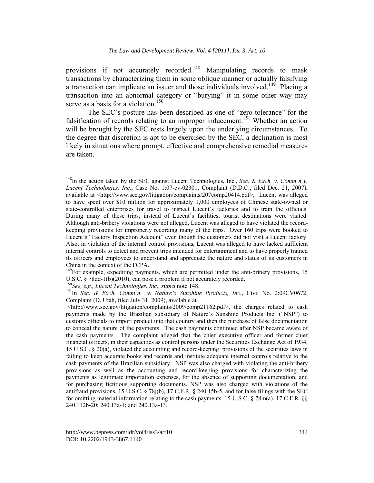provisions if not accurately recorded.<sup>148</sup> Manipulating records to mask transactions by characterizing them in some oblique manner or actually falsifying a transaction can implicate an issuer and those individuals involved.<sup>149</sup> Placing a transaction into an abnormal category or "burying" it in some other way may serve as a basis for a violation.<sup>150</sup>

 The SEC's posture has been described as one of "zero tolerance" for the falsification of records relating to an improper inducement.<sup>151</sup> Whether an action will be brought by the SEC rests largely upon the underlying circumstances. To the degree that discretion is apt to be exercised by the SEC, a declination is most likely in situations where prompt, effective and comprehensive remedial measures are taken.

 $148$ In the action taken by the SEC against Lucent Technologies, Inc., *Sec. & Exch. v, Comm'n v. Lucent Technologies, Inc.*, Case No. 1:07-cv-02301, Complaint (D.D.C., filed Dec. 21, 2007), available at <http://www.sec.gov/litigation/complaints/207comp20414.pdf>, Lucent was alleged to have spent over \$10 million for approximately 1,000 employees of Chinese state-owned or state-controlled enterprises for travel to inspect Lucent's factories and to train the officials. During many of these trips, instead of Lucent's facilities, tourist destinations were visited. Although anti-bribery violations were not alleged, Lucent was alleged to have violated the recordkeeping provisions for improperly recording many of the trips. Over 160 trips were booked to Lucent's "Factory Inspection Account" even though the customers did not visit a Lucent factory. Also, in violation of the internal control provisions, Lucent was alleged to have lacked sufficient internal controls to detect and prevent trips intended for entertainment and to have properly trained its officers and employees to understand and appreciate the nature and status of its customers in China in the context of the FCPA.

<sup>&</sup>lt;sup>149</sup>For example, expediting payments, which are permitted under the anti-bribery provisions, 15 U.S.C. § 78dd-1(b)(2010), can pose a problem if not accurately recorded.<br><sup>150</sup>See, e.g., *Lucent Technologies, Inc., supra* note 148.<br><sup>151</sup>In *Sec. & Exch. Comm'n* v. *Nature's Sunshine Products, Inc.*, Civil No. 2:09CV067

Complaint (D. Utah, filed July 31, 2009), available at

 $\langle \text{http://www.sec.gov/litigation/complaints/2009/comp21162.pdf} \rangle$ , the charges related to cash payments made by the Brazilian subsidiary of Nature's Sunshine Products Inc. ("NSP") to customs officials to import product into that country and then the purchase of false documentation to conceal the nature of the payments. The cash payments continued after NSP became aware of the cash payments. The complaint alleged that the chief executive officer and former chief financial officers, in their capacities as control persons under the Securities Exchange Act of 1934, 15 U.S.C. § 20(a), violated the accounting and record-keeping provisions of the securities laws in failing to keep accurate books and records and institute adequate internal controls relative to the cash payments of the Brazilian subsidiary. NSP was also charged with violating the anti-bribery provisions as well as the accounting and record-keeping provisions for characterizing the payments as legitimate importation expenses, for the absence of supporting documentation, and for purchasing fictitious supporting documents. NSP was also charged with violations of the antifraud provisions, 15 U.S.C. § 78j(b), 17 C.F.R. § 240.15b-5, and for false filings with the SEC for omitting material information relating to the cash payments. 15 U.S.C. § 78m(a), 17 C.F.R. §§ 240.112b-20; 240.13a-1; and 240.13a-13.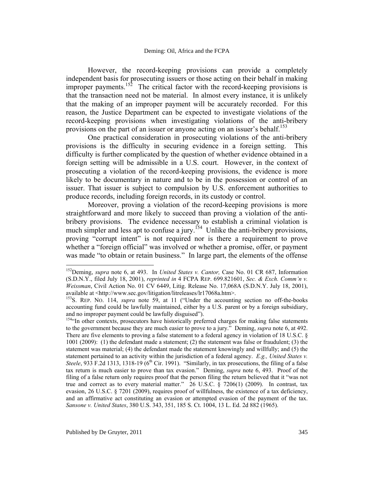However, the record-keeping provisions can provide a completely independent basis for prosecuting issuers or those acting on their behalf in making improper payments.<sup>152</sup> The critical factor with the record-keeping provisions is that the transaction need not be material. In almost every instance, it is unlikely that the making of an improper payment will be accurately recorded. For this reason, the Justice Department can be expected to investigate violations of the record-keeping provisions when investigating violations of the anti-bribery provisions on the part of an issuer or anyone acting on an issuer's behalf.<sup>153</sup>

 One practical consideration in prosecuting violations of the anti-bribery provisions is the difficulty in securing evidence in a foreign setting. This difficulty is further complicated by the question of whether evidence obtained in a foreign setting will be admissible in a U.S. court. However, in the context of prosecuting a violation of the record-keeping provisions, the evidence is more likely to be documentary in nature and to be in the possession or control of an issuer. That issuer is subject to compulsion by U.S. enforcement authorities to produce records, including foreign records, in its custody or control.

 Moreover, proving a violation of the record-keeping provisions is more straightforward and more likely to succeed than proving a violation of the antibribery provisions. The evidence necessary to establish a criminal violation is much simpler and less apt to confuse a jury.<sup>154</sup> Unlike the anti-bribery provisions, proving "corrupt intent" is not required nor is there a requirement to prove whether a "foreign official" was involved or whether a promise, offer, or payment was made "to obtain or retain business." In large part, the elements of the offense

1

<sup>152</sup>Deming, *supra* note 6, at 493. In *United States v. Cantor,* Case No. 01 CR 687, Information (S.D.N.Y., filed July 18, 2001), *reprinted in* 4 FCPA REP. 699.821601, *Sec. & Exch. Comm'n v. Weissman*, Civil Action No. 01 CV 6449, Litig. Release No. 17,068A (S.D.N.Y. July 18, 2001), available at <http://www.sec.gov/litigation/litreleases/lr17068a.htm>.<br><sup>153</sup>S. REP. NO. 114, *supra* note 59, at 11 ("Under the accounting section no off-the-books

accounting fund could be lawfully maintained, either by a U.S. parent or by a foreign subsidiary, and no improper payment could be lawfully disguised").

<sup>&</sup>lt;sup>154</sup>"In other contexts, prosecutors have historically preferred charges for making false statements to the government because they are much easier to prove to a jury." Deming, *supra* note 6, at 492. There are five elements to proving a false statement to a federal agency in violation of 18 U.S.C. § 1001 (2009): (1) the defendant made a statement; (2) the statement was false or fraudulent; (3) the statement was material; (4) the defendant made the statement knowingly and willfully; and (5) the statement pertained to an activity within the jurisdiction of a federal agency. *E.g., United States v. Steele*, 933 F.2d 1313, 1318-19 ( $6<sup>th</sup>$  Cir. 1991). "Similarly, in tax prosecutions, the filing of a false tax return is much easier to prove than tax evasion." Deming, *supra* note 6, 493. Proof of the filing of a false return only requires proof that the person filing the return believed that it "was not true and correct as to every material matter." 26 U.S.C. § 7206(1) (2009). In contrast, tax evasion, 26 U.S.C. § 7201 (2009), requires proof of willfulness, the existence of a tax deficiency, and an affirmative act constituting an evasion or attempted evasion of the payment of the tax. *Sansone v. United States*, 380 U.S. 343, 351, 185 S. Ct. 1004, 13 L. Ed. 2d 882 (1965).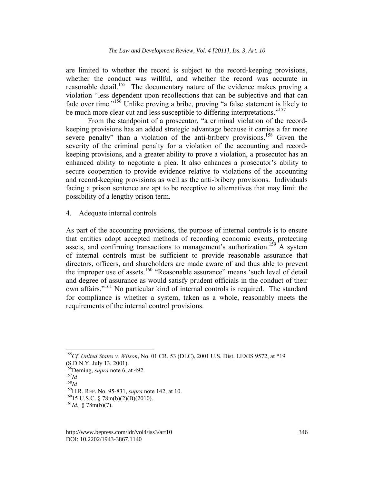are limited to whether the record is subject to the record-keeping provisions, whether the conduct was willful, and whether the record was accurate in reasonable detail.<sup>155</sup> The documentary nature of the evidence makes proving a violation "less dependent upon recollections that can be subjective and that can fade over time."156 Unlike proving a bribe, proving "a false statement is likely to be much more clear cut and less susceptible to differing interpretations."<sup>157</sup>

 From the standpoint of a prosecutor, "a criminal violation of the recordkeeping provisions has an added strategic advantage because it carries a far more severe penalty" than a violation of the anti-bribery provisions.<sup>158</sup> Given the severity of the criminal penalty for a violation of the accounting and recordkeeping provisions, and a greater ability to prove a violation, a prosecutor has an enhanced ability to negotiate a plea. It also enhances a prosecutor's ability to secure cooperation to provide evidence relative to violations of the accounting and record-keeping provisions as well as the anti-bribery provisions. Individuals facing a prison sentence are apt to be receptive to alternatives that may limit the possibility of a lengthy prison term.

4. Adequate internal controls

As part of the accounting provisions, the purpose of internal controls is to ensure that entities adopt accepted methods of recording economic events, protecting assets, and confirming transactions to management's authorization.<sup>159</sup> A system of internal controls must be sufficient to provide reasonable assurance that directors, officers, and shareholders are made aware of and thus able to prevent the improper use of assets. $160$  "Reasonable assurance" means 'such level of detail and degree of assurance as would satisfy prudent officials in the conduct of their own affairs."<sup>161</sup> No particular kind of internal controls is required. The standard for compliance is whether a system, taken as a whole, reasonably meets the requirements of the internal control provisions.

1

<sup>155</sup>*Cf. United States v. Wilson*, No. 01 CR. 53 (DLC), 2001 U.S. Dist. LEXIS 9572, at \*19

<sup>(</sup>S.D.N.Y. July 13, 2001).<br><sup>156</sup>Deming, *supra* note 6, at 492.

<sup>157</sup>*Id*<br><sup>158</sup>*Id*<br><sup>159</sup>H.R. REP. No. 95-831, *supra* note 142, at 10. <sup>161</sup>15 U.S.C. § 78m(b)(2)(B)(2010). <sup>161</sup>*Id.*, § 78m(b)(7).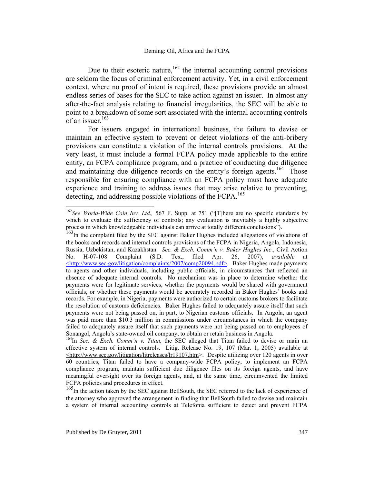Due to their esoteric nature,<sup>162</sup> the internal accounting control provisions are seldom the focus of criminal enforcement activity. Yet, in a civil enforcement context, where no proof of intent is required, these provisions provide an almost endless series of bases for the SEC to take action against an issuer. In almost any after-the-fact analysis relating to financial irregularities, the SEC will be able to point to a breakdown of some sort associated with the internal accounting controls of an issuer.<sup>163</sup>

 For issuers engaged in international business, the failure to devise or maintain an effective system to prevent or detect violations of the anti-bribery provisions can constitute a violation of the internal controls provisions. At the very least, it must include a formal FCPA policy made applicable to the entire entity, an FCPA compliance program, and a practice of conducting due diligence and maintaining due diligence records on the entity's foreign agents.<sup>164</sup> Those responsible for ensuring compliance with an FCPA policy must have adequate experience and training to address issues that may arise relative to preventing, detecting, and addressing possible violations of the FCPA.<sup>165</sup>

<sup>162</sup>*See World-Wide Coin Inv. Ltd.,* 567 F. Supp. at 751 ("[T]here are no specific standards by which to evaluate the sufficiency of controls; any evaluation is inevitably a highly subjective process in which knowledgeable individuals can arrive at totally different conclusions").

<sup>&</sup>lt;sup>163</sup>In the complaint filed by the SEC against Baker Hughes included allegations of violations of the books and records and internal controls provisions of the FCPA in Nigeria, Angola, Indonesia, Russia, Uzbekistan, and Kazakhstan. *Sec. & Exch. Comm'n v. Baker Hughes Inc*., Civil Action No. H-07-108 Complaint (S.D. Tex., filed Apr. 26, 2007), *available* at <http://www.sec.gov/litigation/complaints/2007/comp20094.pdf>. Baker Hughes made payments to agents and other individuals, including public officials, in circumstances that reflected an absence of adequate internal controls. No mechanism was in place to determine whether the payments were for legitimate services, whether the payments would be shared with government officials, or whether these payments would be accurately recorded in Baker Hughes' books and records. For example, in Nigeria, payments were authorized to certain customs brokers to facilitate the resolution of customs deficiencies. Baker Hughes failed to adequately assure itself that such payments were not being passed on, in part, to Nigerian customs officials. In Angola, an agent was paid more than \$10.3 million in commissions under circumstances in which the company failed to adequately assure itself that such payments were not being passed on to employees of Sonangol, Angola's state-owned oil company, to obtain or retain business in Angola.

<sup>164</sup>In *Sec. & Exch. Comm'n v. Titan,* the SEC alleged that Titan failed to devise or main an effective system of internal controls. Litig. Release No. 19, 107 (Mar. 1, 2005) available at <http://www.sec.gov/litigation/litreleases/lr19107.htm>. Despite utilizing over 120 agents in over 60 countries, Titan failed to have a company-wide FCPA policy, to implement an FCPA compliance program, maintain sufficient due diligence files on its foreign agents, and have meaningful oversight over its foreign agents, and, at the same time, circumvented the limited FCPA policies and procedures in effect.

<sup>&</sup>lt;sup>165</sup>In the action taken by the SEC against BellSouth, the SEC referred to the lack of experience of the attorney who approved the arrangement in finding that BellSouth failed to devise and maintain a system of internal accounting controls at Telefonia sufficient to detect and prevent FCPA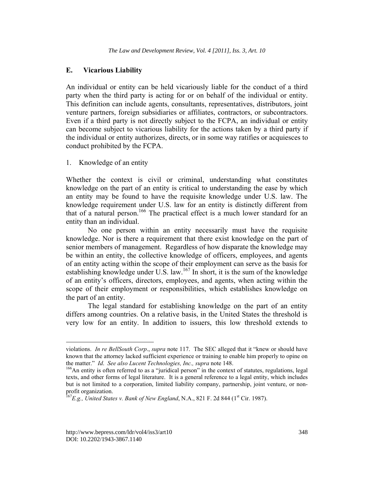# **E. Vicarious Liability**

An individual or entity can be held vicariously liable for the conduct of a third party when the third party is acting for or on behalf of the individual or entity. This definition can include agents, consultants, representatives, distributors, joint venture partners, foreign subsidiaries or affiliates, contractors, or subcontractors. Even if a third party is not directly subject to the FCPA, an individual or entity can become subject to vicarious liability for the actions taken by a third party if the individual or entity authorizes, directs, or in some way ratifies or acquiesces to conduct prohibited by the FCPA.

1. Knowledge of an entity

Whether the context is civil or criminal, understanding what constitutes knowledge on the part of an entity is critical to understanding the ease by which an entity may be found to have the requisite knowledge under U.S. law. The knowledge requirement under U.S. law for an entity is distinctly different from that of a natural person.<sup>166</sup> The practical effect is a much lower standard for an entity than an individual.

 No one person within an entity necessarily must have the requisite knowledge. Nor is there a requirement that there exist knowledge on the part of senior members of management. Regardless of how disparate the knowledge may be within an entity, the collective knowledge of officers, employees, and agents of an entity acting within the scope of their employment can serve as the basis for establishing knowledge under U.S. law.<sup>167</sup> In short, it is the sum of the knowledge of an entity's officers, directors, employees, and agents, when acting within the scope of their employment or responsibilities, which establishes knowledge on the part of an entity.

 The legal standard for establishing knowledge on the part of an entity differs among countries. On a relative basis, in the United States the threshold is very low for an entity. In addition to issuers, this low threshold extends to

violations. *In re BellSouth Corp*., *supra* note 117. The SEC alleged that it "knew or should have known that the attorney lacked sufficient experience or training to enable him properly to opine on the matter." *Id. See also Lucent Technologies, Inc., supra* note 148.<br><sup>166</sup>An entity is often referred to as a "juridical person" in the context of statutes, regulations, legal

texts, and other forms of legal literature. It is a general reference to a legal entity, which includes but is not limited to a corporation, limited liability company, partnership, joint venture, or nonprofit organization.

 $^{167}E$ .g., United States v. Bank of New England, N.A., 821 F. 2d 844 (1<sup>st</sup> Cir. 1987).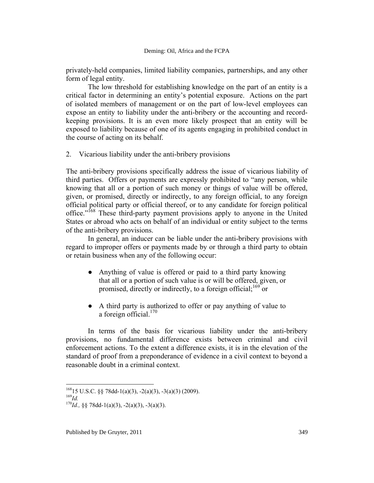privately-held companies, limited liability companies, partnerships, and any other form of legal entity.

 The low threshold for establishing knowledge on the part of an entity is a critical factor in determining an entity's potential exposure. Actions on the part of isolated members of management or on the part of low-level employees can expose an entity to liability under the anti-bribery or the accounting and recordkeeping provisions. It is an even more likely prospect that an entity will be exposed to liability because of one of its agents engaging in prohibited conduct in the course of acting on its behalf.

2. Vicarious liability under the anti-bribery provisions

The anti-bribery provisions specifically address the issue of vicarious liability of third parties. Offers or payments are expressly prohibited to "any person, while knowing that all or a portion of such money or things of value will be offered, given, or promised, directly or indirectly, to any foreign official, to any foreign official political party or official thereof, or to any candidate for foreign political office."168 These third-party payment provisions apply to anyone in the United States or abroad who acts on behalf of an individual or entity subject to the terms of the anti-bribery provisions.

 In general, an inducer can be liable under the anti-bribery provisions with regard to improper offers or payments made by or through a third party to obtain or retain business when any of the following occur:

- Anything of value is offered or paid to a third party knowing that all or a portion of such value is or will be offered, given, or promised, directly or indirectly, to a foreign official;  $^{169}$  or
- A third party is authorized to offer or pay anything of value to a foreign official. $170$

 In terms of the basis for vicarious liability under the anti-bribery provisions, no fundamental difference exists between criminal and civil enforcement actions. To the extent a difference exists, it is in the elevation of the standard of proof from a preponderance of evidence in a civil context to beyond a reasonable doubt in a criminal context.

<sup>16815</sup> U.S.C. §§ 78dd-1(a)(3), -2(a)(3), -3(a)(3) (2009). 169*Id.* <sup>170</sup>*Id.,* §§ 78dd-1(a)(3), -2(a)(3), -3(a)(3).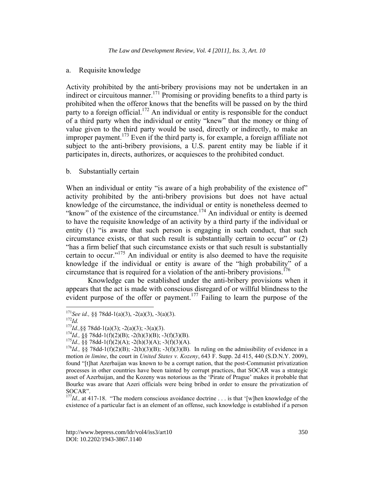#### a. Requisite knowledge

Activity prohibited by the anti-bribery provisions may not be undertaken in an indirect or circuitous manner.<sup>171</sup> Promising or providing benefits to a third party is prohibited when the offeror knows that the benefits will be passed on by the third party to a foreign official.<sup>172</sup> An individual or entity is responsible for the conduct of a third party when the individual or entity "knew" that the money or thing of value given to the third party would be used, directly or indirectly, to make an improper payment.<sup>173</sup> Even if the third party is, for example, a foreign affiliate not subject to the anti-bribery provisions, a U.S. parent entity may be liable if it participates in, directs, authorizes, or acquiesces to the prohibited conduct.

b. Substantially certain

When an individual or entity "is aware of a high probability of the existence of" activity prohibited by the anti-bribery provisions but does not have actual knowledge of the circumstance, the individual or entity is nonetheless deemed to "know" of the existence of the circumstance.<sup>174</sup> An individual or entity is deemed to have the requisite knowledge of an activity by a third party if the individual or entity (1) "is aware that such person is engaging in such conduct, that such circumstance exists, or that such result is substantially certain to occur" or (2) "has a firm belief that such circumstance exists or that such result is substantially certain to occur."<sup>175</sup> An individual or entity is also deemed to have the requisite knowledge if the individual or entity is aware of the "high probability" of a circumstance that is required for a violation of the anti-bribery provisions.<sup>176</sup>

 Knowledge can be established under the anti-bribery provisions when it appears that the act is made with conscious disregard of or willful blindness to the evident purpose of the offer or payment.<sup>177</sup> Failing to learn the purpose of the

 $171$ See id., §§ 78dd-1(a)(3), -2(a)(3), -3(a)(3).

<sup>&</sup>lt;sup>172</sup>*Id.*<br>
<sup>173</sup>*Id.*, §§ 78dd-1(a)(3); -2(a)(3); -3(a)(3).<br>
<sup>174</sup>*Id.*, §§ 78dd-1(f)(2)(B); -2(h)(3)(B); -3(f)(3)(B).<br>
<sup>175</sup>*Id.*, §§ 78dd-1(f)(2)(A); -2(h)(3)(A); -3(f)(3)(A).<br>
<sup>176</sup>*Id.*, §§ 78dd-1(f)(2)(B); -2(h)(3)( motion *in limine*, the court in *United States v. Kozeny*, 643 F. Supp. 2d 415, 440 (S.D.N.Y. 2009), found "[t]hat Azerbaijan was known to be a corrupt nation, that the post-Communist privatization processes in other countries have been tainted by corrupt practices, that SOCAR was a strategic asset of Azerbaijan, and the Kozeny was notorious as the 'Pirate of Prague' makes it probable that Bourke was aware that Azeri officials were being bribed in order to ensure the privatization of SOCAR".

<sup>&</sup>lt;sup>177</sup>*Id.*, at 417-18. "The modern conscious avoidance doctrine . . . is that '[w]hen knowledge of the existence of a particular fact is an element of an offense, such knowledge is established if a person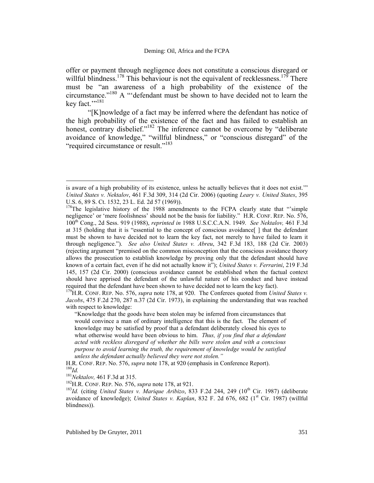offer or payment through negligence does not constitute a conscious disregard or willful blindness.<sup>178</sup> This behaviour is not the equivalent of recklessness.<sup>179</sup> There must be "an awareness of a high probability of the existence of the circumstance."180 A "'defendant must be shown to have decided not to learn the key fact.""<sup>181</sup>

 "[K]nowledge of a fact may be inferred where the defendant has notice of the high probability of the existence of the fact and has failed to establish an honest, contrary disbelief."<sup>182</sup> The inference cannot be overcome by "deliberate avoidance of knowledge," "willful blindness," or "conscious disregard" of the "required circumstance or result."<sup>183</sup>

is aware of a high probability of its existence, unless he actually believes that it does not exist.'" *United States v. Nektalov*, 461 F.3d 309, 314 (2d Cir. 2006) (quoting *Leary v. United States*, 395 U.S. 6, 89 S. Ct. 1532, 23 L. Ed. 2d 57 (1969)).

<sup>&</sup>lt;sup>178</sup>The legislative history of the 1988 amendments to the FCPA clearly state that "'simple negligence' or 'mere foolishness' should not be the basis for liability." H.R. CONF. REP. No. 576, 100th Cong., 2d Sess. 919 (1988), *reprinted in* 1988 U.S.C.C.A.N. 1949. *See Nektalov,* 461 F.3d at 315 (holding that it is "essential to the concept of conscious avoidance[ ] that the defendant must be shown to have decided not to learn the key fact, not merely to have failed to learn it through negligence."). *See also United States v. Abreu*, 342 F.3d 183, 188 (2d Cir. 2003) (rejecting argument "premised on the common misconception that the conscious avoidance theory allows the prosecution to establish knowledge by proving only that the defendant should have known of a certain fact, even if he did not actually know it"); *United States v. Ferrarini*, 219 F.3d 145, 157 (2d Cir. 2000) (conscious avoidance cannot be established when the factual context should have apprised the defendant of the unlawful nature of his conduct and have instead required that the defendant have been shown to have decided not to learn the key fact).

<sup>179</sup>H.R. CONF. REP. No. 576, *supra* note 178, at 920. The Conferees quoted from *United States v. Jacobs*, 475 F.2d 270, 287 n.37 (2d Cir. 1973), in explaining the understanding that was reached with respect to knowledge:

<sup>&</sup>quot;Knowledge that the goods have been stolen may be inferred from circumstances that would convince a man of ordinary intelligence that this is the fact. The element of knowledge may be satisfied by proof that a defendant deliberately closed his eyes to what otherwise would have been obvious to him. *Thus, if you find that a defendant acted with reckless disregard of whether the bills were stolen and with a conscious purpose to avoid learning the truth, the requirement of knowledge would be satisfied unless the defendant actually believed they were not stolen."* 

H.R. CONF. REP. No. 576, *supra* note 178, at 920 (emphasis in Conference Report).<br><sup>180</sup>*Id.*<br><sup>181</sup>*Nektalov*, 461 F.3d at 315.<br><sup>182</sup>H.R. CONF. REP. No. 576, *supra* note 178, at 921.<br><sup>182</sup>*Id.* (citing *United States v.* 

avoidance of knowledge); *United States v. Kaplan*, 832 F. 2d 676, 682 (1<sup>st</sup> Cir. 1987) (willful blindness)).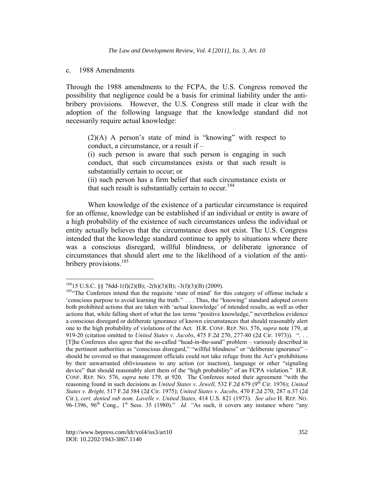#### c. 1988 Amendments

 $\overline{a}$ 

Through the 1988 amendments to the FCPA, the U.S. Congress removed the possibility that negligence could be a basis for criminal liability under the antibribery provisions. However, the U.S. Congress still made it clear with the adoption of the following language that the knowledge standard did not necessarily require actual knowledge:

(2)(A) A person's state of mind is "knowing" with respect to conduct, a circumstance, or a result if –

(i) such person is aware that such person is engaging in such conduct, that such circumstances exists or that such result is substantially certain to occur; or

(ii) such person has a firm belief that such circumstance exists or that such result is substantially certain to occur.<sup>184</sup>

 When knowledge of the existence of a particular circumstance is required for an offense, knowledge can be established if an individual or entity is aware of a high probability of the existence of such circumstances unless the individual or entity actually believes that the circumstance does not exist. The U.S. Congress intended that the knowledge standard continue to apply to situations where there was a conscious disregard, willful blindness, or deliberate ignorance of circumstances that should alert one to the likelihood of a violation of the antibribery provisions.<sup>185</sup>

<sup>&</sup>lt;sup>184</sup>15 U.S.C. §§ 78dd-1(f)(2)(B); -2(h)(3)(B); -3(f)(3)(B) (2009).<br><sup>185</sup>"The Conferees intend that the requisite 'state of mind' for this category of offense include a 'conscious purpose to avoid learning the truth." . . . Thus, the "knowing" standard adopted covers both prohibited actions that are taken with 'actual knowledge' of intended results, as well as other actions that, while falling short of what the law terms "positive knowledge," nevertheless evidence a conscious disregard or deliberate ignorance of known circumstances that should reasonably alert one to the high probability of violations of the Act. H.R. CONF. REP. NO. 576, *supra* note 179, at 919-20 (citation omitted to *United States v. Jacobs*, 475 F.2d 270, 277-80 (2d Cir. 1973)). ". . . [T]he Conferees also agree that the so-called "head-in-the-sand" problem – variously described in the pertinent authorities as "conscious disregard," "willful blindness" or "deliberate ignorance" – should be covered so that management officials could not take refuge from the Act's prohibitions by their unwarranted obliviousness to any action (or inaction), language or other "signaling device" that should reasonably alert them of the "high probability" of an FCPA violation." H.R. CONF. REP. NO. 576, *supra* note 179, at 920. The Conferees noted their agreement "with the reasoning found in such decisions as *United States v. Jewell*, 532 F.2d 679 (9<sup>th</sup> Cir. 1976); *United States v. Bright,* 517 F.2d 584 (2d Cir. 1975); *United States v. Jacobs,* 470 F.2d 270, 287 n.37 (2d Cir.), *cert. denied sub nom. Lavelle v. United States,* 414 U.S. 821 (1973). *See also* H. REP. NO. 96-1396, 96<sup>th</sup> Cong., 1<sup>st</sup> Sess. 35 (1980)." *Id.* "As such, it covers any instance where "any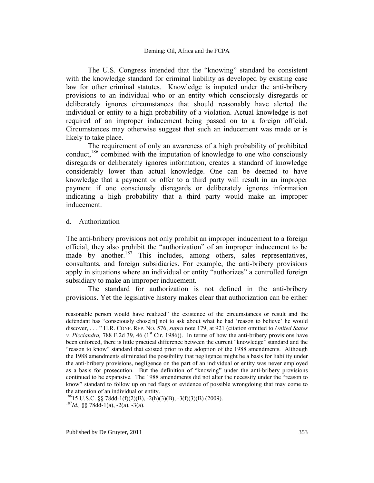The U.S. Congress intended that the "knowing" standard be consistent with the knowledge standard for criminal liability as developed by existing case law for other criminal statutes. Knowledge is imputed under the anti-bribery provisions to an individual who or an entity which consciously disregards or deliberately ignores circumstances that should reasonably have alerted the individual or entity to a high probability of a violation. Actual knowledge is not required of an improper inducement being passed on to a foreign official. Circumstances may otherwise suggest that such an inducement was made or is likely to take place.

 The requirement of only an awareness of a high probability of prohibited conduct,  $186$  combined with the imputation of knowledge to one who consciously disregards or deliberately ignores information, creates a standard of knowledge considerably lower than actual knowledge. One can be deemed to have knowledge that a payment or offer to a third party will result in an improper payment if one consciously disregards or deliberately ignores information indicating a high probability that a third party would make an improper inducement.

#### d. Authorization

 $\overline{a}$ 

The anti-bribery provisions not only prohibit an improper inducement to a foreign official, they also prohibit the "authorization" of an improper inducement to be made by another.<sup>187</sup> This includes, among others, sales representatives, consultants, and foreign subsidiaries. For example, the anti-bribery provisions apply in situations where an individual or entity "authorizes" a controlled foreign subsidiary to make an improper inducement.

 The standard for authorization is not defined in the anti-bribery provisions. Yet the legislative history makes clear that authorization can be either

reasonable person would have realized" the existence of the circumstances or result and the defendant has "consciously chose[n] not to ask about what he had 'reason to believe' he would discover, . . . " H.R. CONF. REP. NO. 576, *supra* note 179, at 921 (citation omitted to *United States v. Picciandra, 788 F.2d 39, 46 (1<sup>st</sup> Cir. 1986)).* In terms of how the anti-bribery provisions have been enforced, there is little practical difference between the current "knowledge" standard and the "reason to know" standard that existed prior to the adoption of the 1988 amendments. Although the 1988 amendments eliminated the possibility that negligence might be a basis for liability under the anti-bribery provisions, negligence on the part of an individual or entity was never employed as a basis for prosecution. But the definition of "knowing" under the anti-bribery provisions continued to be expansive. The 1988 amendments did not alter the necessity under the "reason to know" standard to follow up on red flags or evidence of possible wrongdoing that may come to the attention of an individual or entity.

<sup>18615</sup> U.S.C. §§ 78dd-1(f)(2)(B), -2(h)(3)(B), -3(f)(3)(B) (2009). 187*Id.,* §§ 78dd-1(a), -2(a), -3(a).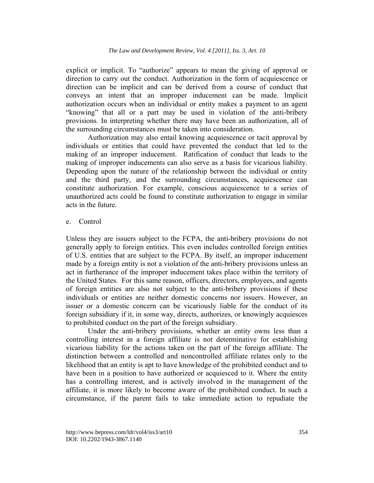explicit or implicit. To "authorize" appears to mean the giving of approval or direction to carry out the conduct. Authorization in the form of acquiescence or direction can be implicit and can be derived from a course of conduct that conveys an intent that an improper inducement can be made. Implicit authorization occurs when an individual or entity makes a payment to an agent "knowing" that all or a part may be used in violation of the anti-bribery provisions. In interpreting whether there may have been an authorization, all of the surrounding circumstances must be taken into consideration.

Authorization may also entail knowing acquiescence or tacit approval by individuals or entities that could have prevented the conduct that led to the making of an improper inducement. Ratification of conduct that leads to the making of improper inducements can also serve as a basis for vicarious liability. Depending upon the nature of the relationship between the individual or entity and the third party, and the surrounding circumstances, acquiescence can constitute authorization. For example, conscious acquiescence to a series of unauthorized acts could be found to constitute authorization to engage in similar acts in the future.

#### e. Control

Unless they are issuers subject to the FCPA, the anti-bribery provisions do not generally apply to foreign entities. This even includes controlled foreign entities of U.S. entities that are subject to the FCPA. By itself, an improper inducement made by a foreign entity is not a violation of the anti-bribery provisions unless an act in furtherance of the improper inducement takes place within the territory of the United States. For this same reason, officers, directors, employees, and agents of foreign entities are also not subject to the anti-bribery provisions if these individuals or entities are neither domestic concerns nor issuers. However, an issuer or a domestic concern can be vicariously liable for the conduct of its foreign subsidiary if it, in some way, directs, authorizes, or knowingly acquiesces to prohibited conduct on the part of the foreign subsidiary.

 Under the anti-bribery provisions, whether an entity owns less than a controlling interest in a foreign affiliate is not determinative for establishing vicarious liability for the actions taken on the part of the foreign affiliate. The distinction between a controlled and noncontrolled affiliate relates only to the likelihood that an entity is apt to have knowledge of the prohibited conduct and to have been in a position to have authorized or acquiesced to it. Where the entity has a controlling interest, and is actively involved in the management of the affiliate, it is more likely to become aware of the prohibited conduct. In such a circumstance, if the parent fails to take immediate action to repudiate the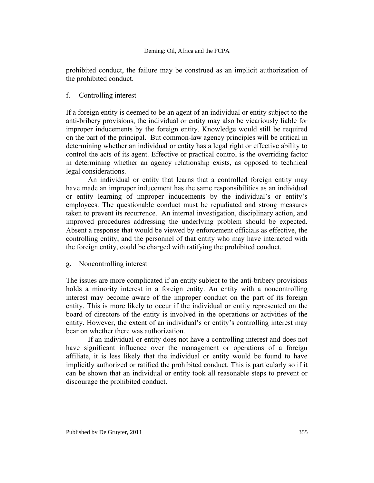prohibited conduct, the failure may be construed as an implicit authorization of the prohibited conduct.

# f. Controlling interest

If a foreign entity is deemed to be an agent of an individual or entity subject to the anti-bribery provisions, the individual or entity may also be vicariously liable for improper inducements by the foreign entity. Knowledge would still be required on the part of the principal. But common-law agency principles will be critical in determining whether an individual or entity has a legal right or effective ability to control the acts of its agent. Effective or practical control is the overriding factor in determining whether an agency relationship exists, as opposed to technical legal considerations.

 An individual or entity that learns that a controlled foreign entity may have made an improper inducement has the same responsibilities as an individual or entity learning of improper inducements by the individual's or entity's employees. The questionable conduct must be repudiated and strong measures taken to prevent its recurrence. An internal investigation, disciplinary action, and improved procedures addressing the underlying problem should be expected. Absent a response that would be viewed by enforcement officials as effective, the controlling entity, and the personnel of that entity who may have interacted with the foreign entity, could be charged with ratifying the prohibited conduct.

# g. Noncontrolling interest

The issues are more complicated if an entity subject to the anti-bribery provisions holds a minority interest in a foreign entity. An entity with a noncontrolling interest may become aware of the improper conduct on the part of its foreign entity. This is more likely to occur if the individual or entity represented on the board of directors of the entity is involved in the operations or activities of the entity. However, the extent of an individual's or entity's controlling interest may bear on whether there was authorization.

 If an individual or entity does not have a controlling interest and does not have significant influence over the management or operations of a foreign affiliate, it is less likely that the individual or entity would be found to have implicitly authorized or ratified the prohibited conduct. This is particularly so if it can be shown that an individual or entity took all reasonable steps to prevent or discourage the prohibited conduct.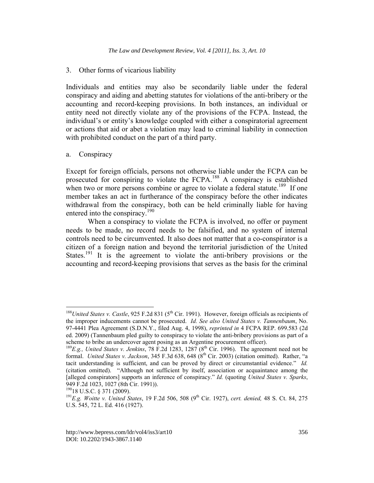### 3. Other forms of vicarious liability

Individuals and entities may also be secondarily liable under the federal conspiracy and aiding and abetting statutes for violations of the anti-bribery or the accounting and record-keeping provisions. In both instances, an individual or entity need not directly violate any of the provisions of the FCPA. Instead, the individual's or entity's knowledge coupled with either a conspiratorial agreement or actions that aid or abet a violation may lead to criminal liability in connection with prohibited conduct on the part of a third party.

### a. Conspiracy

Except for foreign officials, persons not otherwise liable under the FCPA can be prosecuted for conspiring to violate the FCPA.188 A conspiracy is established when two or more persons combine or agree to violate a federal statute.<sup>189</sup> If one member takes an act in furtherance of the conspiracy before the other indicates withdrawal from the conspiracy, both can be held criminally liable for having entered into the conspiracy.<sup>190</sup>

 When a conspiracy to violate the FCPA is involved, no offer or payment needs to be made, no record needs to be falsified, and no system of internal controls need to be circumvented. It also does not matter that a co-conspirator is a citizen of a foreign nation and beyond the territorial jurisdiction of the United States.<sup>191</sup> It is the agreement to violate the anti-bribery provisions or the accounting and record-keeping provisions that serves as the basis for the criminal

<sup>&</sup>lt;sup>188</sup>*United States v. Castle*, 925 F.2d 831 (5<sup>th</sup> Cir. 1991). However, foreign officials as recipients of the improper inducements cannot be prosecuted. *Id. See also United States v. Tannenbaum*, No. 97-4441 Plea Agreement (S.D.N.Y., filed Aug. 4, 1998), *reprinted in* 4 FCPA REP. 699.583 (2d ed. 2009) (Tannenbaum pled guilty to conspiracy to violate the anti-bribery provisions as part of a scheme to bribe an undercover agent posing as an Argentine procurement officer).

<sup>&</sup>lt;sup>189</sup>E.g., United States v. Jenkins, 78 F.2d 1283, 1287 (8<sup>th</sup> Cir. 1996). The agreement need not be formal. *United States v. Jackson*, 345 F.3d 638, 648 (8<sup>th</sup> Cir. 2003) (citation omitted). Rather, "a tacit understanding is sufficient, and can be proved by direct or circumstantial evidence." *Id.* (citation omitted). "Although not sufficient by itself, association or acquaintance among the [alleged conspirators] supports an inference of conspiracy." *Id.* (quoting *United States v. Sparks*, 949 F.2d 1023, 1027 (8th Cir. 1991)).<br><sup>190</sup>18 U.S.C. § 371 (2009).

<sup>&</sup>lt;sup>191</sup> E.g. Woitte v. United States, 19 F.2d 506, 508 (9<sup>th</sup> Cir. 1927), cert. denied, 48 S. Ct. 84, 275 U.S. 545, 72 L. Ed. 416 (1927).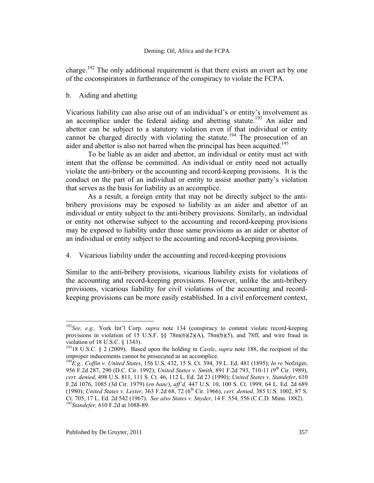charge.<sup>192</sup> The only additional requirement is that there exists an overt act by one of the coconspirators in furtherance of the conspiracy to violate the FCPA.

### b. Aiding and abetting

Vicarious liability can also arise out of an individual's or entity's involvement as an accomplice under the federal aiding and abetting statute.<sup>193</sup> An aider and abettor can be subject to a statutory violation even if that individual or entity cannot be charged directly with violating the statute.<sup>194</sup> The prosecution of an aider and abettor is also not barred when the principal has been acquitted.<sup>195</sup>

 To be liable as an aider and abettor, an individual or entity must act with intent that the offense be committed. An individual or entity need not actually violate the anti-bribery or the accounting and record-keeping provisions. It is the conduct on the part of an individual or entity to assist another party's violation that serves as the basis for liability as an accomplice.

 As a result, a foreign entity that may not be directly subject to the antibribery provisions may be exposed to liability as an aider and abettor of an individual or entity subject to the anti-bribery provisions. Similarly, an individual or entity not otherwise subject to the accounting and record-keeping provisions may be exposed to liability under those same provisions as an aider or abettor of an individual or entity subject to the accounting and record-keeping provisions.

4. Vicarious liability under the accounting and record-keeping provisions

Similar to the anti-bribery provisions, vicarious liability exists for violations of the accounting and record-keeping provisions. However, unlike the anti-bribery provisions, vicarious liability for civil violations of the accounting and recordkeeping provisions can be more easily established. In a civil enforcement context,

<sup>192</sup>*See, e.g.,* York Int'l Corp. *supra* note 134 (conspiracy to commit violate record-keeping provisions in violation of 15 U.S.F. §§ 78 $m(6)(2)(A)$ , 78 $m(b)(5)$ , and 78ff, and wire fraud in violation of 18 U.S.C. § 1343).

<sup>19318</sup> U.S.C. § 2 (2009). Based upon the holding in *Castle*, *supra* note 188, the recipient of the improper inducements cannot be prosecuted as an accomplice. 194*E.g., Coffin v. United States*, 156 U.S. 432, 15 S. Ct. 394, 39 L. Ed. 481 (1895); *In re* Nofziger,

<sup>956</sup> F.2d 287, 290 (D.C. Cir. 1992); *United States v. Smith*, 891 F.2d 793, 710-11 (9th Cir. 1989), *cert. denied,* 498 U.S. 811, 111 S. Ct. 46, 112 L. Ed. 2d 23 (1990); *United States v. Standefer*, 610 F.2d 1076, 1085 (3d Cir. 1979) (*en banc*), *aff'd,* 447 U.S. 10, 100 S. Ct. 1999, 64 L. Ed. 2d 689 (1980); *United States v. Lester*, 363 F.2d 68, 72 (6<sup>th</sup> Cir. 1966), *cert. denied*, 385 U.S. 1002, 87 S. Ct. 705, 17 L. Ed. 2d 542 (1967). *See also States v. Snyder*, 14 F. 554, 556 (C.C.D. Minn. 1882). 195*Standefer,* 610 F.2d at 1088-89.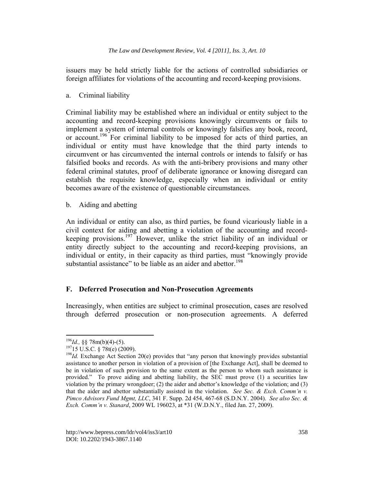issuers may be held strictly liable for the actions of controlled subsidiaries or foreign affiliates for violations of the accounting and record-keeping provisions.

a. Criminal liability

Criminal liability may be established where an individual or entity subject to the accounting and record-keeping provisions knowingly circumvents or fails to implement a system of internal controls or knowingly falsifies any book, record, or account.196 For criminal liability to be imposed for acts of third parties, an individual or entity must have knowledge that the third party intends to circumvent or has circumvented the internal controls or intends to falsify or has falsified books and records. As with the anti-bribery provisions and many other federal criminal statutes, proof of deliberate ignorance or knowing disregard can establish the requisite knowledge, especially when an individual or entity becomes aware of the existence of questionable circumstances.

b. Aiding and abetting

An individual or entity can also, as third parties, be found vicariously liable in a civil context for aiding and abetting a violation of the accounting and recordkeeping provisions.<sup>197</sup> However, unlike the strict liability of an individual or entity directly subject to the accounting and record-keeping provisions, an individual or entity, in their capacity as third parties, must "knowingly provide substantial assistance" to be liable as an aider and abettor.<sup>198</sup>

# **F. Deferred Prosecution and Non-Prosecution Agreements**

Increasingly, when entities are subject to criminal prosecution, cases are resolved through deferred prosecution or non-prosecution agreements. A deferred

<sup>&</sup>lt;sup>196</sup>*Id.*, §§ 78m(b)(4)-(5).<br><sup>197</sup>15 U.S.C. § 78t(e) (2009).<br><sup>198</sup>*Id.* Exchange Act Section 20(e) provides that "any person that knowingly provides substantial assistance to another person in violation of a provision of [the Exchange Act], shall be deemed to be in violation of such provision to the same extent as the person to whom such assistance is provided." To prove aiding and abetting liability, the SEC must prove (1) a securities law violation by the primary wrongdoer; (2) the aider and abettor's knowledge of the violation; and (3) that the aider and abettor substantially assisted in the violation. *See Sec. & Exch. Comm'n v. Pimco Advisors Fund Mgmt, LLC*, 341 F. Supp. 2d 454, 467-68 (S.D.N.Y. 2004). *See also Sec. & Exch. Comm'n v. Stanard*, 2009 WL 196023, at \*31 (W.D.N.Y., filed Jan. 27, 2009).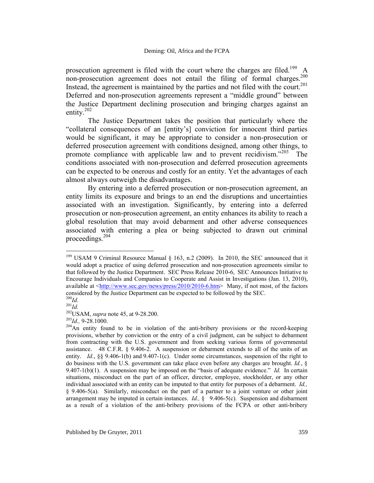prosecution agreement is filed with the court where the charges are filed.<sup>199</sup> A non-prosecution agreement does not entail the filing of formal charges.<sup>200</sup> Instead, the agreement is maintained by the parties and not filed with the court.<sup>201</sup> Deferred and non-prosecution agreements represent a "middle ground" between the Justice Department declining prosecution and bringing charges against an entity.202

 The Justice Department takes the position that particularly where the "collateral consequences of an [entity's] conviction for innocent third parties would be significant, it may be appropriate to consider a non-prosecution or deferred prosecution agreement with conditions designed, among other things, to promote compliance with applicable law and to prevent recidivism."<sup>203</sup> The conditions associated with non-prosecution and deferred prosecution agreements can be expected to be onerous and costly for an entity. Yet the advantages of each almost always outweigh the disadvantages.

 By entering into a deferred prosecution or non-prosecution agreement, an entity limits its exposure and brings to an end the disruptions and uncertainties associated with an investigation. Significantly, by entering into a deferred prosecution or non-prosecution agreement, an entity enhances its ability to reach a global resolution that may avoid debarment and other adverse consequences associated with entering a plea or being subjected to drawn out criminal proceedings.<sup>204</sup>

<sup>&</sup>lt;sup>199</sup> USAM 9 Criminal Resource Manual § 163, n.2 (2009). In 2010, the SEC announced that it would adopt a practice of using deferred prosecution and non-prosecution agreements similar to that followed by the Justice Department. SEC Press Release 2010-6, SEC Announces Initiative to Encourage Individuals and Companies to Cooperate and Assist in Investigations (Jan. 13, 2010), available at  $\frac{\text{http://www.sec.gov/news/press/2010/2010-6.htm}}{\text{considered by the Justice Department can be expected to be followed by the SEC.}}$ 

<sup>&</sup>lt;sup>200</sup>*Id.*<br><sup>202</sup>USAM, *supra* note 45, at 9-28.200.<br><sup>202</sup>USAM, *supra* note 45, at 9-28.200.<br><sup>203</sup>*Id.*, 9-28.1000.<br><sup>204</sup>An entity found to be in violation of the anti-bribery provisions or the record-keeping provisions, whether by conviction or the entry of a civil judgment, can be subject to debarment from contracting with the U.S. government and from seeking various forms of governmental assistance. 48 C.F.R. § 9.406-2. A suspension or debarment extends to all of the units of an entity. *Id.*, §§ 9.406-1(b) and 9.407-1(c). Under some circumstances, suspension of the right to do business with the U.S. government can take place even before any charges are brought. *Id.*, § 9.407-1(b)(1). A suspension may be imposed on the "basis of adequate evidence." *Id.* In certain situations, misconduct on the part of an officer, director, employee, stockholder, or any other individual associated with an entity can be imputed to that entity for purposes of a debarment. *Id.,* § 9.406-5(a). Similarly, misconduct on the part of a partner to a joint venture or other joint arrangement may be imputed in certain instances. *Id.,* § 9.406-5(c). Suspension and disbarment as a result of a violation of the anti-bribery provisions of the FCPA or other anti-bribery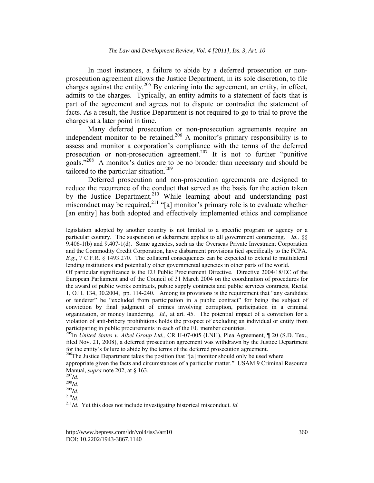In most instances, a failure to abide by a deferred prosecution or nonprosecution agreement allows the Justice Department, in its sole discretion, to file charges against the entity.<sup>205</sup> By entering into the agreement, an entity, in effect, admits to the charges. Typically, an entity admits to a statement of facts that is part of the agreement and agrees not to dispute or contradict the statement of facts. As a result, the Justice Department is not required to go to trial to prove the charges at a later point in time.

 Many deferred prosecution or non-prosecution agreements require an independent monitor to be retained.<sup>206</sup> A monitor's primary responsibility is to assess and monitor a corporation's compliance with the terms of the deferred prosecution or non-prosecution agreement.<sup>207</sup> It is not to further "punitive goals."<sup>208</sup> A monitor's duties are to be no broader than necessary and should be tailored to the particular situation.<sup>209</sup>

 Deferred prosecution and non-prosecution agreements are designed to reduce the recurrence of the conduct that served as the basis for the action taken by the Justice Department.<sup>210</sup> While learning about and understanding past misconduct may be required,  $^{211}$  "[a] monitor's primary role is to evaluate whether [an entity] has both adopted and effectively implemented ethics and compliance

 $\overline{a}$ 

http://www.bepress.com/ldr/vol4/iss3/art10 DOI: 10.2202/1943-3867.1140

legislation adopted by another country is not limited to a specific program or agency or a particular country. The suspension or debarment applies to all government contracting. *Id.,* §§ 9.406-1(b) and 9.407-1(d). Some agencies, such as the Overseas Private Investment Corporation and the Commodity Credit Corporation, have disbarment provisions tied specifically to the FCPA. *E.g*., 7 C.F.R. § 1493.270. The collateral consequences can be expected to extend to multilateral lending institutions and potentially other governmental agencies in other parts of the world.

Of particular significance is the EU Public Procurement Directive. Directive 2004/18/EC of the European Parliament and of the Council of 31 March 2004 on the coordination of procedures for the award of public works contracts, public supply contracts and public services contracts, Ricital 1, OJ L 134, 30.2004, pp. 114-240. Among its provisions is the requirement that "any candidate or tenderer" be "excluded from participation in a public contract" for being the subject of conviction by final judgment of crimes involving corruption, participation in a criminal organization, or money laundering. *Id.,* at art. 45. The potential impact of a conviction for a violation of anti-bribery prohibitions holds the prospect of excluding an individual or entity from

participating in public procurements in each of the EU member countries.<br><sup>205</sup>In *United States v. Aibel Group Ltd.*, CR H-07-005 (LNH), Plea Agreement, ¶ 20 (S.D. Tex., filed Nov. 21, 2008), a deferred prosecution agreement was withdrawn by the Justice Department for the entity's failure to abide by the terms of the deferred prosecution agreement.

<sup>&</sup>lt;sup>206</sup>The Justice Department takes the position that "[a] monitor should only be used where

appropriate given the facts and circumstances of a particular matter." USAM 9 Criminal Resource Manual, *supra* note 202, at § 163.<br><sup>207</sup>*Id.*<br><sup>209</sup>*Id.* <sup>209</sup>*Id.* <sup>210</sup>*Id.* Yet this does not include investigating historical misconduct. *Id.* <sup>211</sup>*Id.* Yet this does not include investigating historical misconduct.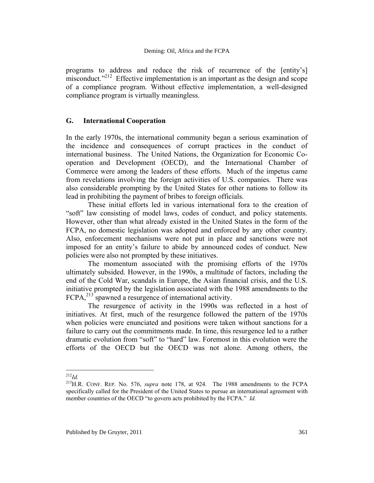#### Deming: Oil, Africa and the FCPA

programs to address and reduce the risk of recurrence of the [entity's] misconduct.<sup>"212</sup> Effective implementation is an important as the design and scope of a compliance program. Without effective implementation, a well-designed compliance program is virtually meaningless.

## **G. International Cooperation**

In the early 1970s, the international community began a serious examination of the incidence and consequences of corrupt practices in the conduct of international business. The United Nations, the Organization for Economic Cooperation and Development (OECD), and the International Chamber of Commerce were among the leaders of these efforts. Much of the impetus came from revelations involving the foreign activities of U.S. companies. There was also considerable prompting by the United States for other nations to follow its lead in prohibiting the payment of bribes to foreign officials.

 These initial efforts led in various international fora to the creation of "soft" law consisting of model laws, codes of conduct, and policy statements. However, other than what already existed in the United States in the form of the FCPA, no domestic legislation was adopted and enforced by any other country. Also, enforcement mechanisms were not put in place and sanctions were not imposed for an entity's failure to abide by announced codes of conduct. New policies were also not prompted by these initiatives.

 The momentum associated with the promising efforts of the 1970s ultimately subsided. However, in the 1990s, a multitude of factors, including the end of the Cold War, scandals in Europe, the Asian financial crisis, and the U.S. initiative prompted by the legislation associated with the 1988 amendments to the FCPA,<sup>213</sup> spawned a resurgence of international activity.

 The resurgence of activity in the 1990s was reflected in a host of initiatives. At first, much of the resurgence followed the pattern of the 1970s when policies were enunciated and positions were taken without sanctions for a failure to carry out the commitments made. In time, this resurgence led to a rather dramatic evolution from "soft" to "hard" law. Foremost in this evolution were the efforts of the OECD but the OECD was not alone. Among others, the

 $^{212}$ *Id.* 

<sup>&</sup>lt;sup>213</sup>H.R. CONF. REP. No. 576, *supra* note 178, at 924. The 1988 amendments to the FCPA specifically called for the President of the United States to pursue an international agreement with member countries of the OECD "to govern acts prohibited by the FCPA." *Id.*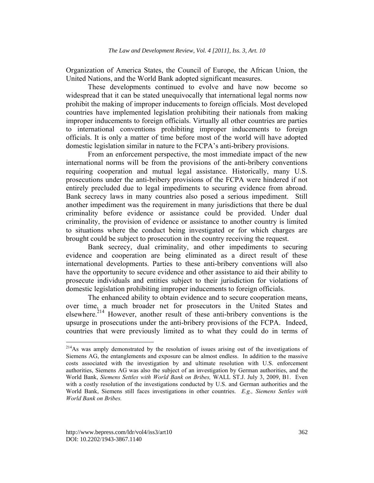Organization of America States, the Council of Europe, the African Union, the United Nations, and the World Bank adopted significant measures.

 These developments continued to evolve and have now become so widespread that it can be stated unequivocally that international legal norms now prohibit the making of improper inducements to foreign officials. Most developed countries have implemented legislation prohibiting their nationals from making improper inducements to foreign officials. Virtually all other countries are parties to international conventions prohibiting improper inducements to foreign officials. It is only a matter of time before most of the world will have adopted domestic legislation similar in nature to the FCPA's anti-bribery provisions.

 From an enforcement perspective, the most immediate impact of the new international norms will be from the provisions of the anti-bribery conventions requiring cooperation and mutual legal assistance. Historically, many U.S. prosecutions under the anti-bribery provisions of the FCPA were hindered if not entirely precluded due to legal impediments to securing evidence from abroad. Bank secrecy laws in many countries also posed a serious impediment. Still another impediment was the requirement in many jurisdictions that there be dual criminality before evidence or assistance could be provided. Under dual criminality, the provision of evidence or assistance to another country is limited to situations where the conduct being investigated or for which charges are brought could be subject to prosecution in the country receiving the request.

 Bank secrecy, dual criminality, and other impediments to securing evidence and cooperation are being eliminated as a direct result of these international developments. Parties to these anti-bribery conventions will also have the opportunity to secure evidence and other assistance to aid their ability to prosecute individuals and entities subject to their jurisdiction for violations of domestic legislation prohibiting improper inducements to foreign officials.

 The enhanced ability to obtain evidence and to secure cooperation means, over time, a much broader net for prosecutors in the United States and elsewhere.<sup>214</sup> However, another result of these anti-bribery conventions is the upsurge in prosecutions under the anti-bribery provisions of the FCPA. Indeed, countries that were previously limited as to what they could do in terms of

<u>.</u>

 $2^{14}$ As was amply demonstrated by the resolution of issues arising out of the investigations of Siemens AG, the entanglements and exposure can be almost endless. In addition to the massive costs associated with the investigation by and ultimate resolution with U.S. enforcement authorities, Siemens AG was also the subject of an investigation by German authorities, and the World Bank, *Siemens Settles with World Bank on Bribes,* WALL ST.J. July 3, 2009, B1. Even with a costly resolution of the investigations conducted by U.S. and German authorities and the World Bank, Siemens still faces investigations in other countries. *E.g., Siemens Settles with World Bank on Bribes.*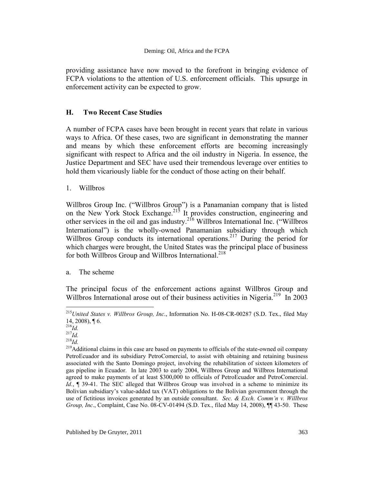## Deming: Oil, Africa and the FCPA

providing assistance have now moved to the forefront in bringing evidence of FCPA violations to the attention of U.S. enforcement officials. This upsurge in enforcement activity can be expected to grow.

# **H. Two Recent Case Studies**

A number of FCPA cases have been brought in recent years that relate in various ways to Africa. Of these cases, two are significant in demonstrating the manner and means by which these enforcement efforts are becoming increasingly significant with respect to Africa and the oil industry in Nigeria. In essence, the Justice Department and SEC have used their tremendous leverage over entities to hold them vicariously liable for the conduct of those acting on their behalf.

1. Willbros

Willbros Group Inc. ("Willbros Group") is a Panamanian company that is listed on the New York Stock Exchange.<sup>215</sup> It provides construction, engineering and other services in the oil and gas industry.216 Willbros International Inc. ("Willbros International") is the wholly-owned Panamanian subsidiary through which Willbros Group conducts its international operations.<sup>217</sup> During the period for which charges were brought, the United States was the principal place of business for both Willbros Group and Willbros International.<sup>218</sup>

a. The scheme

The principal focus of the enforcement actions against Willbros Group and Willbros International arose out of their business activities in Nigeria.<sup>219</sup> In 2003

<sup>215</sup>*United States v. Willbros Group, Inc*., Information No. H-08-CR-00287 (S.D. Tex., filed May 14, 2008), ¶ 6.<br> $^{216}$ *Id.* 

<sup>&</sup>lt;sup>217</sup>*Id.* <sup>218</sup>*Id.* <sup>218</sup>*Id.* <sup>218</sup>*Id.* <sup>218</sup>*Id.* <sup>218</sup>**Additional claims in this case are based on payments to officials of the state-owned oil company** PetroEcuador and its subsidiary PetroComercial, to assist with obtaining and retaining business associated with the Santo Domingo project, involving the rehabilitation of sixteen kilometers of gas pipeline in Ecuador. In late 2003 to early 2004, Willbros Group and Willbros International agreed to make payments of at least \$300,000 to officials of PetroEcuador and PetroComercial. *Id.*, **¶** 39-41. The SEC alleged that Willbros Group was involved in a scheme to minimize its Bolivian subsidiary's value-added tax (VAT) obligations to the Bolivian government through the use of fictitious invoices generated by an outside consultant. *Sec. & Exch. Comm'n v. Willbros Group, Inc*., Complaint, Case No. 08-CV-01494 (S.D. Tex., filed May 14, 2008), ¶¶ 43-50. These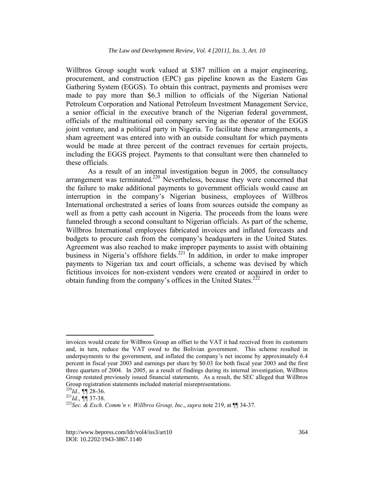Willbros Group sought work valued at \$387 million on a major engineering, procurement, and construction (EPC) gas pipeline known as the Eastern Gas Gathering System (EGGS). To obtain this contract, payments and promises were made to pay more than \$6.3 million to officials of the Nigerian National Petroleum Corporation and National Petroleum Investment Management Service, a senior official in the executive branch of the Nigerian federal government, officials of the multinational oil company serving as the operator of the EGGS joint venture, and a political party in Nigeria. To facilitate these arrangements, a sham agreement was entered into with an outside consultant for which payments would be made at three percent of the contract revenues for certain projects, including the EGGS project. Payments to that consultant were then channeled to these officials.

 As a result of an internal investigation begun in 2005, the consultancy arrangement was terminated.<sup>220</sup> Nevertheless, because they were concerned that the failure to make additional payments to government officials would cause an interruption in the company's Nigerian business, employees of Willbros International orchestrated a series of loans from sources outside the company as well as from a petty cash account in Nigeria. The proceeds from the loans were funneled through a second consultant to Nigerian officials. As part of the scheme, Willbros International employees fabricated invoices and inflated forecasts and budgets to procure cash from the company's headquarters in the United States. Agreement was also reached to make improper payments to assist with obtaining business in Nigeria's offshore fields.<sup>221</sup> In addition, in order to make improper payments to Nigerian tax and court officials, a scheme was devised by which fictitious invoices for non-existent vendors were created or acquired in order to obtain funding from the company's offices in the United States.<sup>222</sup>

invoices would create for Willbros Group an offset to the VAT it had received from its customers and, in turn, reduce the VAT owed to the Bolivian government. This scheme resulted in underpayments to the government, and inflated the company's net income by approximately 6.4 percent in fiscal year 2003 and earnings per share by \$0.03 for both fiscal year 2003 and the first three quarters of 2004. In 2005, as a result of findings during its internal investigation, Willbros Group restated previously issued financial statements. As a result, the SEC alleged that Willbros Group registration statements included material misrepresentations.<br> $^{220}Id$ .  $\P\P$  28-36.

<sup>220</sup>*Id., ¶¶* 28-36. 221*Id*., *¶¶* 37-38. 222*Sec. & Exch. Comm'n v. Willbros Group, Inc*., *supra* note 219, at ¶¶ 34-37.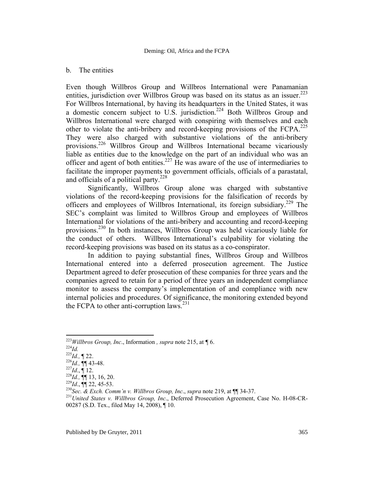#### b. The entities

Even though Willbros Group and Willbros International were Panamanian entities, jurisdiction over Willbros Group was based on its status as an issuer.<sup>223</sup> For Willbros International, by having its headquarters in the United States, it was a domestic concern subject to U.S. jurisdiction.<sup>224</sup> Both Willbros Group and Willbros International were charged with conspiring with themselves and each other to violate the anti-bribery and record-keeping provisions of the  $FCPA$ <sup>225</sup> They were also charged with substantive violations of the anti-bribery provisions.226 Willbros Group and Willbros International became vicariously liable as entities due to the knowledge on the part of an individual who was an officer and agent of both entities.<sup>227</sup> He was aware of the use of intermediaries to facilitate the improper payments to government officials, officials of a parastatal, and officials of a political party.<sup>228</sup>

 Significantly, Willbros Group alone was charged with substantive violations of the record-keeping provisions for the falsification of records by officers and employees of Willbros International, its foreign subsidiary.<sup>229</sup> The SEC's complaint was limited to Willbros Group and employees of Willbros International for violations of the anti-bribery and accounting and record-keeping provisions.230 In both instances, Willbros Group was held vicariously liable for the conduct of others. Willbros International's culpability for violating the record-keeping provisions was based on its status as a co-conspirator.

In addition to paying substantial fines, Willbros Group and Willbros International entered into a deferred prosecution agreement. The Justice Department agreed to defer prosecution of these companies for three years and the companies agreed to retain for a period of three years an independent compliance monitor to assess the company's implementation of and compliance with new internal policies and procedures. Of significance, the monitoring extended beyond the FCPA to other anti-corruption laws.<sup>231</sup>

<sup>&</sup>lt;sup>223</sup>*Willbros Group, Inc.*, Information, *supra* note 215, at  $\P$  6.<br><sup>224</sup>*Id.*,  $\P$  22.<br><sup>226</sup>*Id.*,  $\P$  12.<br><sup>227</sup>*Id.*,  $\P$  13, 16, 20.<br><sup>228</sup>*Id.*,  $\P$  13, 16, 20.<br><sup>229</sup>*Id.*,  $\P$  12.<br><sup>228</sup>*Id.*,  $\P$  12.<br><sup>228</sup>*Id.*,  $\P$ 00287 (S.D. Tex., filed May 14, 2008), ¶ 10.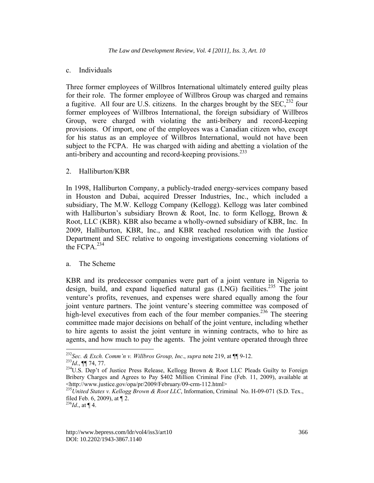## c. Individuals

Three former employees of Willbros International ultimately entered guilty pleas for their role. The former employee of Willbros Group was charged and remains a fugitive. All four are U.S. citizens. In the charges brought by the  $SEC^{232}_{\cdot}$  four former employees of Willbros International, the foreign subsidiary of Willbros Group, were charged with violating the anti-bribery and record-keeping provisions. Of import, one of the employees was a Canadian citizen who, except for his status as an employee of Willbros International, would not have been subject to the FCPA. He was charged with aiding and abetting a violation of the anti-bribery and accounting and record-keeping provisions.<sup>233</sup>

## 2. Halliburton/KBR

In 1998, Halliburton Company, a publicly-traded energy-services company based in Houston and Dubai, acquired Dresser Industries, Inc., which included a subsidiary, The M.W. Kellogg Company (Kellogg). Kellogg was later combined with Halliburton's subsidiary Brown & Root, Inc. to form Kellogg, Brown & Root, LLC (KBR). KBR also became a wholly-owned subsidiary of KBR, Inc. In 2009, Halliburton, KBR, Inc., and KBR reached resolution with the Justice Department and SEC relative to ongoing investigations concerning violations of the FCPA $^{234}$ 

# a. The Scheme

KBR and its predecessor companies were part of a joint venture in Nigeria to design, build, and expand liquefied natural gas  $(LNG)$  facilities.<sup>235</sup> The joint venture's profits, revenues, and expenses were shared equally among the four joint venture partners. The joint venture's steering committee was composed of high-level executives from each of the four member companies.<sup>236</sup> The steering committee made major decisions on behalf of the joint venture, including whether to hire agents to assist the joint venture in winning contracts, who to hire as agents, and how much to pay the agents. The joint venture operated through three

<sup>&</sup>lt;sup>232</sup>Sec. & Exch. Comm'n v. Willbros Group, Inc., supra note 219, at  $\P$ 9-12.

<sup>&</sup>lt;sup>233</sup>*Id.*, ¶¶ 74, 77.<br><sup>234</sup>U.S. Dep't of Justice Press Release, Kellogg Brown & Root LLC Pleads Guilty to Foreign Bribery Charges and Agrees to Pay \$402 Million Criminal Fine (Feb. 11, 2009), available at <http://www.justice.gov/opa/pr/2009/February/09-crm-112.html>

<sup>&</sup>lt;sup>235</sup>United States v. Kellogg Brown & Root LLC, Information, Criminal No. H-09-071 (S.D. Tex., filed Feb. 6, 2009), at ¶ 2.

 $^{236}Id$ ., at ¶ 4.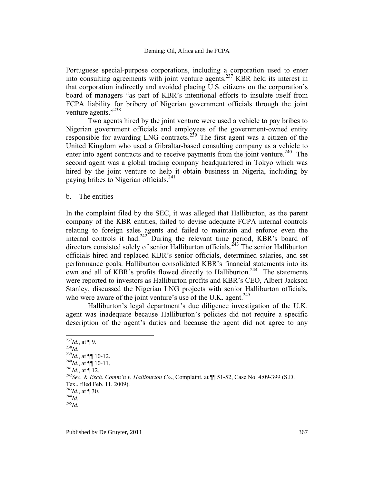Portuguese special-purpose corporations, including a corporation used to enter into consulting agreements with joint venture agents.<sup>237</sup> KBR held its interest in that corporation indirectly and avoided placing U.S. citizens on the corporation's board of managers "as part of KBR's intentional efforts to insulate itself from FCPA liability for bribery of Nigerian government officials through the joint venture agents."<sup>238</sup>

 Two agents hired by the joint venture were used a vehicle to pay bribes to Nigerian government officials and employees of the government-owned entity responsible for awarding LNG contracts.<sup>239</sup> The first agent was a citizen of the United Kingdom who used a Gibraltar-based consulting company as a vehicle to enter into agent contracts and to receive payments from the joint venture.<sup>240</sup> The second agent was a global trading company headquartered in Tokyo which was hired by the joint venture to help it obtain business in Nigeria, including by paying bribes to Nigerian officials.<sup>241</sup>

b. The entities

In the complaint filed by the SEC, it was alleged that Halliburton, as the parent company of the KBR entities, failed to devise adequate FCPA internal controls relating to foreign sales agents and failed to maintain and enforce even the internal controls it had.<sup>242</sup> During the relevant time period, KBR's board of directors consisted solely of senior Halliburton officials.<sup> $243$ </sup> The senior Halliburton officials hired and replaced KBR's senior officials, determined salaries, and set performance goals. Halliburton consolidated KBR's financial statements into its own and all of KBR's profits flowed directly to Halliburton.<sup>244</sup> The statements were reported to investors as Halliburton profits and KBR's CEO, Albert Jackson Stanley, discussed the Nigerian LNG projects with senior Halliburton officials, who were aware of the joint venture's use of the U.K. agent.<sup>245</sup>

 Halliburton's legal department's due diligence investigation of the U.K. agent was inadequate because Halliburton's policies did not require a specific description of the agent's duties and because the agent did not agree to any

 $\overline{a}$ <sup>237</sup>*Id.*, at ¶ 9.<br>
<sup>238</sup>*Id.*, at ¶¶ 10-12.<br>
<sup>240</sup>*Id.*, at ¶¶ 10-11.<br>
<sup>241</sup>*Id.*, at ¶ 12.<br>
<sup>242</sup>*Sec. & Exch. Comm'n v. Halliburton Co.*, Complaint, at ¶¶ 51-52, Case No. 4:09-399 (S.D.<br>
<sup>242</sup>*Sec. & Exch. Comm'n v. Ha* Tex., filed Feb. 11, 2009). <sup>243</sup>*Id*., at ¶ 30. 244*Id*. 245*Id*.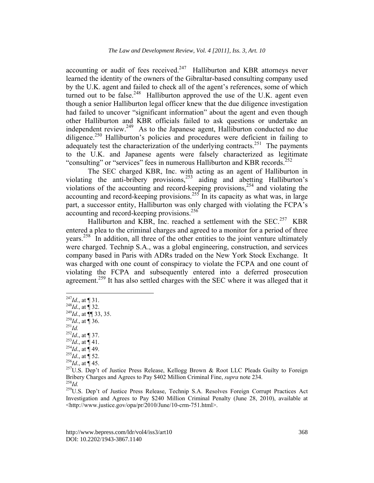accounting or audit of fees received.<sup>247</sup> Halliburton and KBR attorneys never learned the identity of the owners of the Gibraltar-based consulting company used by the U.K. agent and failed to check all of the agent's references, some of which turned out to be false.<sup>248</sup> Halliburton approved the use of the U.K. agent even though a senior Halliburton legal officer knew that the due diligence investigation had failed to uncover "significant information" about the agent and even though other Halliburton and KBR officials failed to ask questions or undertake an independent review.<sup>249</sup> As to the Japanese agent, Halliburton conducted no due diligence.<sup>250</sup> Halliburton's policies and procedures were deficient in failing to adequately test the characterization of the underlying contracts.<sup>251</sup> The payments to the U.K. and Japanese agents were falsely characterized as legitimate "consulting" or "services" fees in numerous Halliburton and KBR records.<sup>252</sup>

 The SEC charged KBR, Inc. with acting as an agent of Halliburton in violating the anti-bribery provisions,<sup>253</sup> aiding and abetting Halliburton's violations of the accounting and record-keeping provisions,  $^{254}$  and violating the accounting and record-keeping provisions.<sup>255</sup> In its capacity as what was, in large part, a successor entity, Halliburton was only charged with violating the FCPA's accounting and record-keeping provisions.<sup>256</sup>

Halliburton and KBR, Inc. reached a settlement with the  $SEC.^{257}$  KBR entered a plea to the criminal charges and agreed to a monitor for a period of three years.258 In addition, all three of the other entities to the joint venture ultimately were charged. Technip S.A., was a global engineering, construction, and services company based in Paris with ADRs traded on the New York Stock Exchange. It was charged with one count of conspiracy to violate the FCPA and one count of violating the FCPA and subsequently entered into a deferred prosecution agreement.<sup>259</sup> It has also settled charges with the SEC where it was alleged that it

http://www.bepress.com/ldr/vol4/iss3/art10 DOI: 10.2202/1943-3867.1140

 $^{247}Id.$ , at ¶ 31.

<sup>&</sup>lt;sup>247</sup>*Id.*, at ¶ 31.<br><sup>248</sup>*Id.*, at ¶ 32.<br><sup>249</sup>*Id.*, at ¶ 33, 35.<br><sup>250</sup>*Id.*, at ¶ 33, 35.<br><sup>251</sup>*Id.*<br><sup>252</sup>*Id.*, at ¶ 37.<br><sup>254</sup>*Id.*, at ¶ 41.<br><sup>254</sup>*Id.*, at ¶ 49.<br><sup>254</sup>*Id.*, at ¶ 45.<br><sup>256</sup>*Id.*, at ¶ 45.<br><sup>256</sup>*Id.*, at Bribery Charges and Agrees to Pay \$402 Million Criminal Fine, *supra* note 234.<br><sup>258</sup>*Id.* 259U.S. Dep't of Justice Press Release, Technip S.A. Resolves Foreign Corrupt Practices Act

Investigation and Agrees to Pay \$240 Million Criminal Penalty (June 28, 2010), available at <http://www.justice.gov/opa/pr/2010/June/10-crm-751.html>.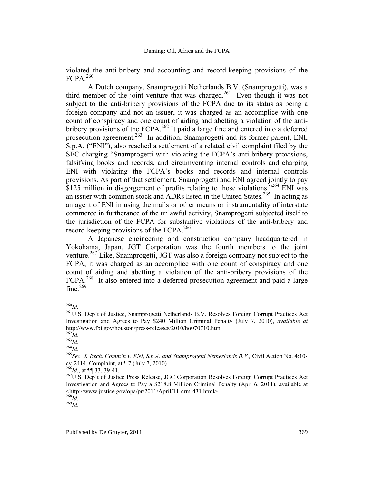violated the anti-bribery and accounting and record-keeping provisions of the  $FCPA<sup>260</sup>$ 

 A Dutch company, Snamprogetti Netherlands B.V. (Snamprogetti), was a third member of the joint venture that was charged.<sup>261</sup> Even though it was not subject to the anti-bribery provisions of the FCPA due to its status as being a foreign company and not an issuer, it was charged as an accomplice with one count of conspiracy and one count of aiding and abetting a violation of the antibribery provisions of the FCPA.<sup>262</sup> It paid a large fine and entered into a deferred prosecution agreement.<sup>263</sup> In addition, Snamprogetti and its former parent, ENI, S.p.A. ("ENI"), also reached a settlement of a related civil complaint filed by the SEC charging "Snamprogetti with violating the FCPA's anti-bribery provisions, falsifying books and records, and circumventing internal controls and charging ENI with violating the FCPA's books and records and internal controls provisions. As part of that settlement, Snamprogetti and ENI agreed jointly to pay \$125 million in disgorgement of profits relating to those violations."<sup>264</sup> ENI was an issuer with common stock and ADRs listed in the United States.<sup>265</sup> In acting as an agent of ENI in using the mails or other means or instrumentality of interstate commerce in furtherance of the unlawful activity, Snamprogetti subjected itself to the jurisdiction of the FCPA for substantive violations of the anti-bribery and record-keeping provisions of the FCPA.<sup>266</sup>

 A Japanese engineering and construction company headquartered in Yokohama, Japan, JGT Corporation was the fourth members to the joint venture.<sup>267</sup> Like, Snamprogetti, JGT was also a foreign company not subject to the FCPA, it was charged as an accomplice with one count of conspiracy and one count of aiding and abetting a violation of the anti-bribery provisions of the FCPA.<sup>268</sup> It also entered into a deferred prosecution agreement and paid a large fine $269$ 

 $^{260}$ Id

<sup>&</sup>lt;sup>261</sup>U.S. Dep't of Justice, Snamprogetti Netherlands B.V. Resolves Foreign Corrupt Practices Act Investigation and Agrees to Pay \$240 Million Criminal Penalty (July 7, 2010), *available at* http://www.fbi.gov/houston/press-releases/2010/ho070710.htm.<br><sup>262</sup>*Id.* <sup>263</sup>*Id.* <sup>264</sup>*Id.* <sup>264</sup>*Id.* <sup>265</sup>*Sec. & Exch. Comm'n v. ENI, S.p.A. and Snamprogetti Netherlands B.V., Civil Action No. 4:10-*

cv-2414, Complaint, at  $\P$  7 (July 7, 2010).<br><sup>266</sup>*Id*., at  $\P$  **1** 33, 39-41.

<sup>&</sup>lt;sup>267</sup>U.S. Dep't of Justice Press Release, JGC Corporation Resolves Foreign Corrupt Practices Act Investigation and Agrees to Pay a \$218.8 Million Criminal Penalty (Apr. 6, 2011), available at <http://www.justice.gov/opa/pr/2011/April/11-crm-431.html>. 268*Id.* <sup>269</sup>*Id.*